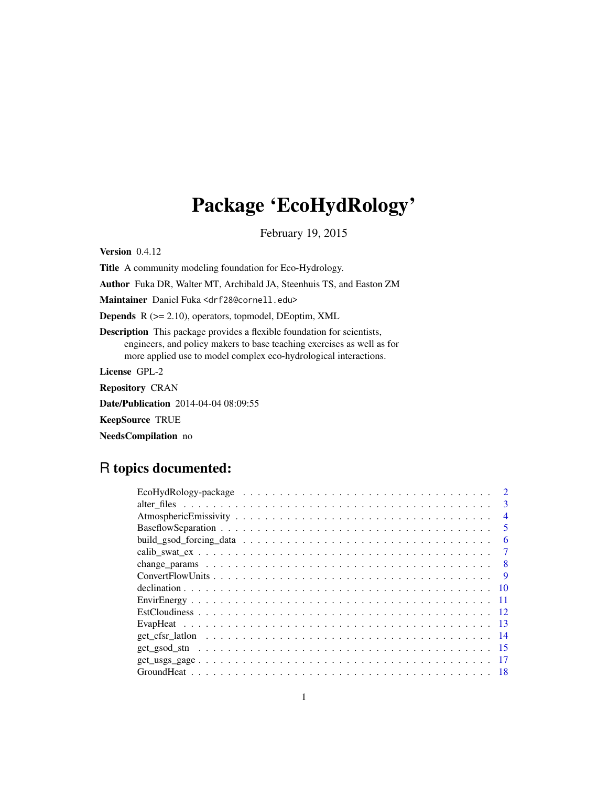# Package 'EcoHydRology'

February 19, 2015

Version 0.4.12

Title A community modeling foundation for Eco-Hydrology.

Author Fuka DR, Walter MT, Archibald JA, Steenhuis TS, and Easton ZM

Maintainer Daniel Fuka <drf28@cornell.edu>

Depends R (>= 2.10), operators, topmodel, DEoptim, XML

Description This package provides a flexible foundation for scientists, engineers, and policy makers to base teaching exercises as well as for more applied use to model complex eco-hydrological interactions.

License GPL-2

Repository CRAN

Date/Publication 2014-04-04 08:09:55

KeepSource TRUE

NeedsCompilation no

# R topics documented:

| $\mathbf{3}$   |
|----------------|
| $\overline{4}$ |
| 5              |
| 6              |
|                |
| -8             |
| <b>Q</b>       |
| -10            |
|                |
|                |
|                |
|                |
|                |
|                |
|                |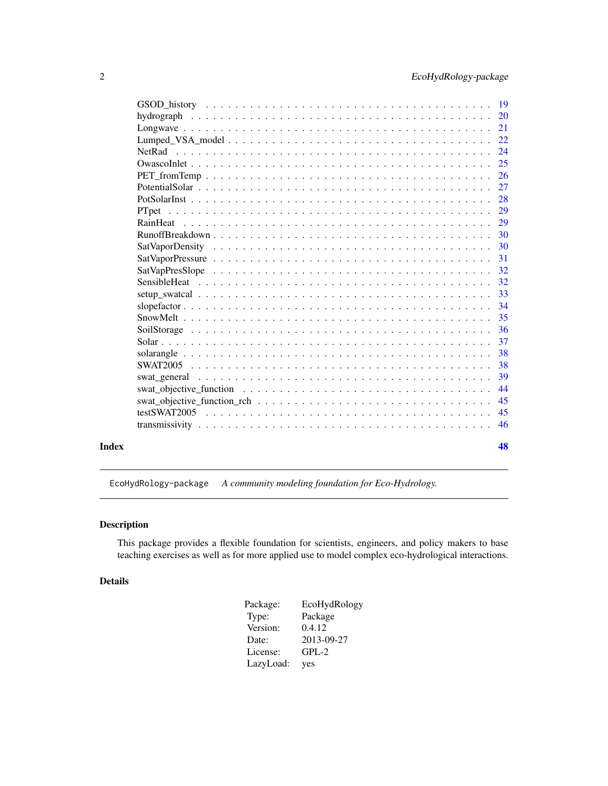<span id="page-1-0"></span>

|       |       | 22  |
|-------|-------|-----|
|       |       | 24  |
|       |       | 25  |
|       |       | 26  |
|       |       | 27  |
|       |       |     |
|       | PTpet | 29  |
|       |       | 29  |
|       |       | 30  |
|       |       |     |
|       |       | -31 |
|       |       |     |
|       |       | 32  |
|       |       |     |
|       |       |     |
|       |       |     |
|       |       | 36  |
|       |       | 37  |
|       |       | -38 |
|       |       | 38  |
|       |       | 39  |
|       |       | 44  |
|       |       | 45  |
|       |       |     |
|       |       |     |
|       |       |     |
| Index |       | 48  |

EcoHydRology-package *A community modeling foundation for Eco-Hydrology.*

# Description

This package provides a flexible foundation for scientists, engineers, and policy makers to base teaching exercises as well as for more applied use to model complex eco-hydrological interactions.

# Details

| Package:  | EcoHydRology |
|-----------|--------------|
| Type:     | Package      |
| Version:  | 0.4.12       |
| Date:     | 2013-09-27   |
| License:  | $GPL-2$      |
| LazyLoad: | yes          |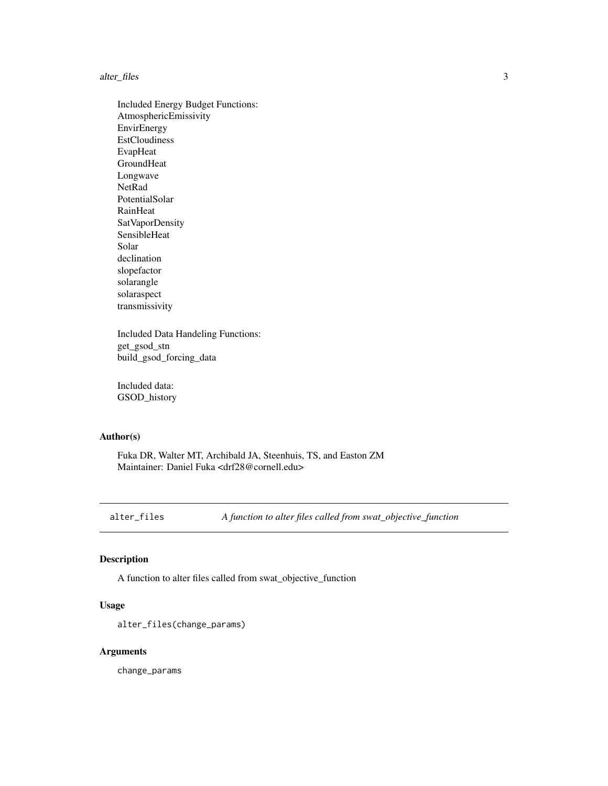#### <span id="page-2-0"></span>alter\_files 3

Included Energy Budget Functions: AtmosphericEmissivity EnvirEnergy EstCloudiness EvapHeat GroundHeat Longwave NetRad PotentialSolar RainHeat SatVaporDensity SensibleHeat Solar declination slopefactor solarangle solaraspect transmissivity

Included Data Handeling Functions: get\_gsod\_stn build\_gsod\_forcing\_data

Included data: GSOD\_history

# Author(s)

Fuka DR, Walter MT, Archibald JA, Steenhuis, TS, and Easton ZM Maintainer: Daniel Fuka <drf28@cornell.edu>

alter\_files *A function to alter files called from swat\_objective\_function*

# Description

A function to alter files called from swat\_objective\_function

# Usage

```
alter_files(change_params)
```
# Arguments

change\_params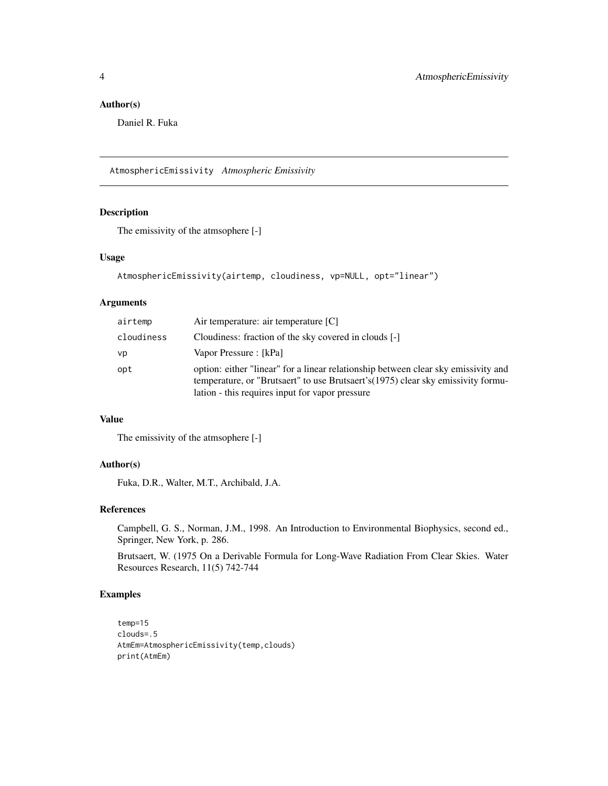# <span id="page-3-0"></span>Author(s)

Daniel R. Fuka

AtmosphericEmissivity *Atmospheric Emissivity*

# Description

The emissivity of the atmsophere [-]

# Usage

```
AtmosphericEmissivity(airtemp, cloudiness, vp=NULL, opt="linear")
```
# Arguments

| airtemp    | Air temperature: air temperature [C]                                                                                                                                                                                       |
|------------|----------------------------------------------------------------------------------------------------------------------------------------------------------------------------------------------------------------------------|
| cloudiness | Cloudiness: fraction of the sky covered in clouds [-]                                                                                                                                                                      |
| vp         | Vapor Pressure : [kPa]                                                                                                                                                                                                     |
| opt        | option: either "linear" for a linear relationship between clear sky emissivity and<br>temperature, or "Brutsaert" to use Brutsaert's (1975) clear sky emissivity formu-<br>lation - this requires input for vapor pressure |

### Value

The emissivity of the atmsophere [-]

# Author(s)

Fuka, D.R., Walter, M.T., Archibald, J.A.

# References

Campbell, G. S., Norman, J.M., 1998. An Introduction to Environmental Biophysics, second ed., Springer, New York, p. 286.

Brutsaert, W. (1975 On a Derivable Formula for Long-Wave Radiation From Clear Skies. Water Resources Research, 11(5) 742-744

# Examples

```
temp=15
clouds=.5
AtmEm=AtmosphericEmissivity(temp,clouds)
print(AtmEm)
```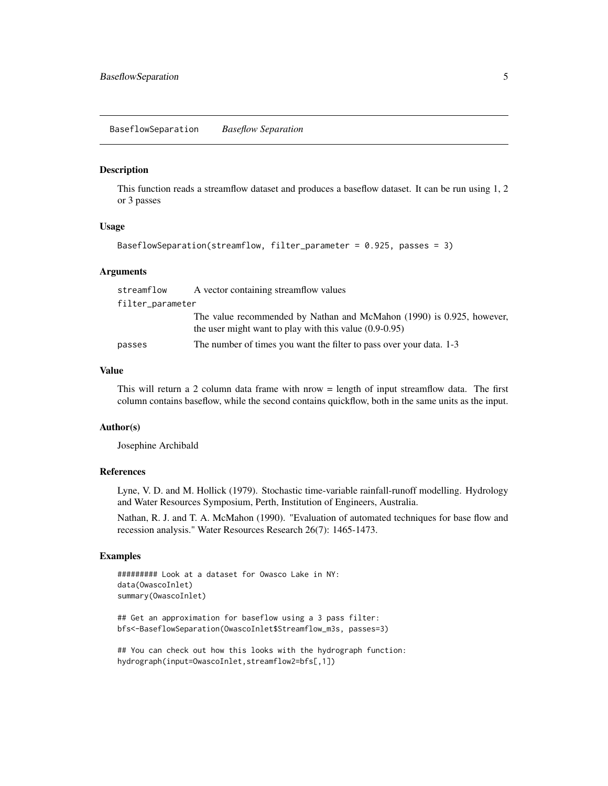<span id="page-4-0"></span>BaseflowSeparation *Baseflow Separation*

#### Description

This function reads a streamflow dataset and produces a baseflow dataset. It can be run using 1, 2 or 3 passes

#### Usage

```
BaseflowSeparation(streamflow, filter_parameter = 0.925, passes = 3)
```
#### Arguments

| streamflow       | A vector containing streamflow values                                                                                             |
|------------------|-----------------------------------------------------------------------------------------------------------------------------------|
| filter_parameter |                                                                                                                                   |
|                  | The value recommended by Nathan and McMahon (1990) is 0.925, however,<br>the user might want to play with this value $(0.9-0.95)$ |
| passes           | The number of times you want the filter to pass over your data. 1-3                                                               |

### Value

This will return a 2 column data frame with nrow = length of input streamflow data. The first column contains baseflow, while the second contains quickflow, both in the same units as the input.

#### Author(s)

Josephine Archibald

#### References

Lyne, V. D. and M. Hollick (1979). Stochastic time-variable rainfall-runoff modelling. Hydrology and Water Resources Symposium, Perth, Institution of Engineers, Australia.

Nathan, R. J. and T. A. McMahon (1990). "Evaluation of automated techniques for base flow and recession analysis." Water Resources Research 26(7): 1465-1473.

#### Examples

```
######### Look at a dataset for Owasco Lake in NY:
data(OwascoInlet)
summary(OwascoInlet)
```
## Get an approximation for baseflow using a 3 pass filter: bfs<-BaseflowSeparation(OwascoInlet\$Streamflow\_m3s, passes=3)

## You can check out how this looks with the hydrograph function: hydrograph(input=OwascoInlet,streamflow2=bfs[,1])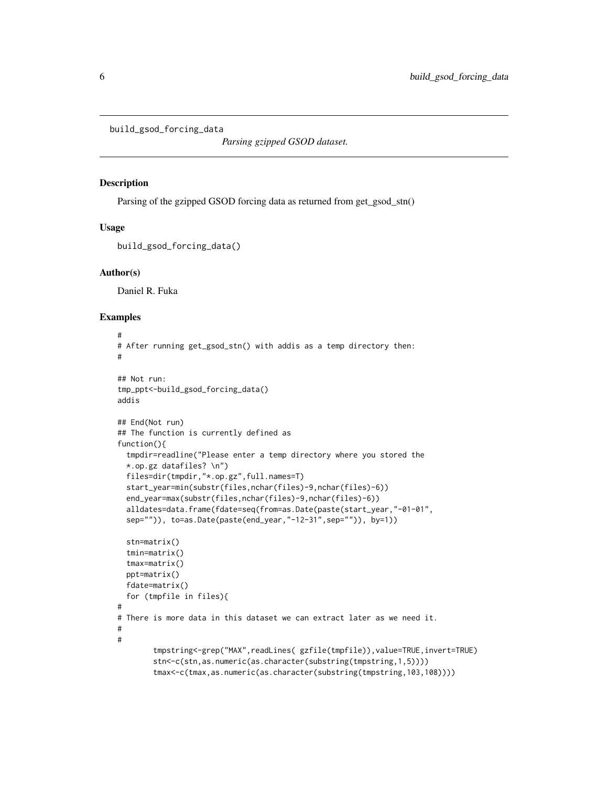```
build_gsod_forcing_data
```
*Parsing gzipped GSOD dataset.*

#### **Description**

Parsing of the gzipped GSOD forcing data as returned from get\_gsod\_stn()

#### Usage

```
build_gsod_forcing_data()
```
#### Author(s)

Daniel R. Fuka

# Examples

```
#
# After running get_gsod_stn() with addis as a temp directory then:
#
## Not run:
tmp_ppt<-build_gsod_forcing_data()
addis
## End(Not run)
## The function is currently defined as
function(){
 tmpdir=readline("Please enter a temp directory where you stored the
 *.op.gz datafiles? \n")
 files=dir(tmpdir,"*.op.gz",full.names=T)
 start_year=min(substr(files,nchar(files)-9,nchar(files)-6))
 end_year=max(substr(files,nchar(files)-9,nchar(files)-6))
 alldates=data.frame(fdate=seq(from=as.Date(paste(start_year,"-01-01",
 sep="")), to=as.Date(paste(end_year,"-12-31",sep="")), by=1))
 stn=matrix()
 tmin=matrix()
 tmax=matrix()
 ppt=matrix()
 fdate=matrix()
 for (tmpfile in files){
#
# There is more data in this dataset we can extract later as we need it.
#
#
        tmpstring<-grep("MAX",readLines( gzfile(tmpfile)),value=TRUE,invert=TRUE)
       stn<-c(stn,as.numeric(as.character(substring(tmpstring,1,5))))
       tmax<-c(tmax,as.numeric(as.character(substring(tmpstring,103,108))))
```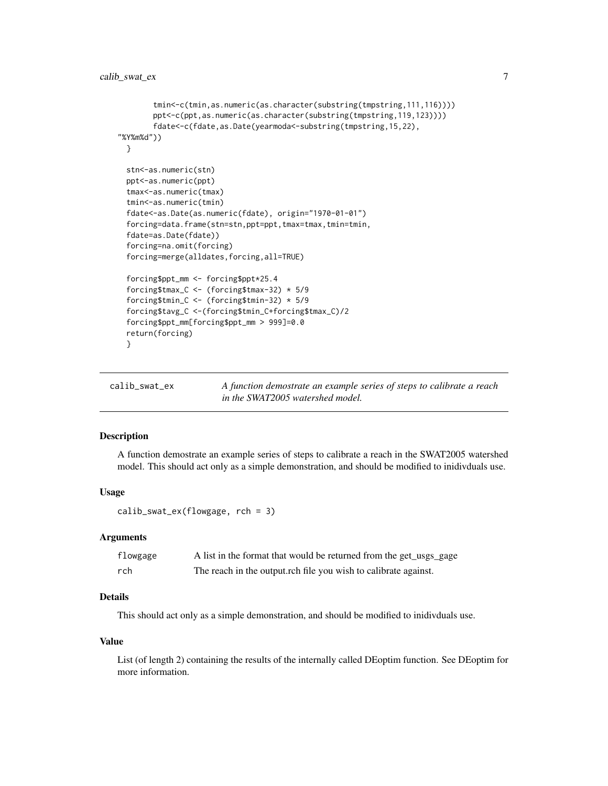```
tmin<-c(tmin,as.numeric(as.character(substring(tmpstring,111,116))))
       ppt<-c(ppt,as.numeric(as.character(substring(tmpstring,119,123))))
       fdate<-c(fdate,as.Date(yearmoda<-substring(tmpstring,15,22),
"%Y%m%d"))
 }
 stn<-as.numeric(stn)
 ppt<-as.numeric(ppt)
 tmax<-as.numeric(tmax)
 tmin<-as.numeric(tmin)
 fdate<-as.Date(as.numeric(fdate), origin="1970-01-01")
 forcing=data.frame(stn=stn,ppt=ppt,tmax=tmax,tmin=tmin,
 fdate=as.Date(fdate))
 forcing=na.omit(forcing)
 forcing=merge(alldates,forcing,all=TRUE)
 forcing$ppt_mm <- forcing$ppt*25.4
 forcing$tmax_C <- (forcing$tmax-32) * 5/9
 forcing$tmin_C <- (forcing$tmin-32) * 5/9
 forcing$tavg_C <-(forcing$tmin_C+forcing$tmax_C)/2
 forcing$ppt_mm[forcing$ppt_mm > 999]=0.0
 return(forcing)
 }
```

| calib_swat_ex | A function demostrate an example series of steps to calibrate a reach |
|---------------|-----------------------------------------------------------------------|
|               | in the SWAT2005 watershed model.                                      |

# Description

A function demostrate an example series of steps to calibrate a reach in the SWAT2005 watershed model. This should act only as a simple demonstration, and should be modified to inidivduals use.

#### Usage

calib\_swat\_ex(flowgage, rch = 3)

#### Arguments

| flowgage | A list in the format that would be returned from the get_usgs_gage |
|----------|--------------------------------------------------------------------|
| rch      | The reach in the output.rch file you wish to calibrate against.    |

# Details

This should act only as a simple demonstration, and should be modified to inidivduals use.

#### Value

List (of length 2) containing the results of the internally called DEoptim function. See DEoptim for more information.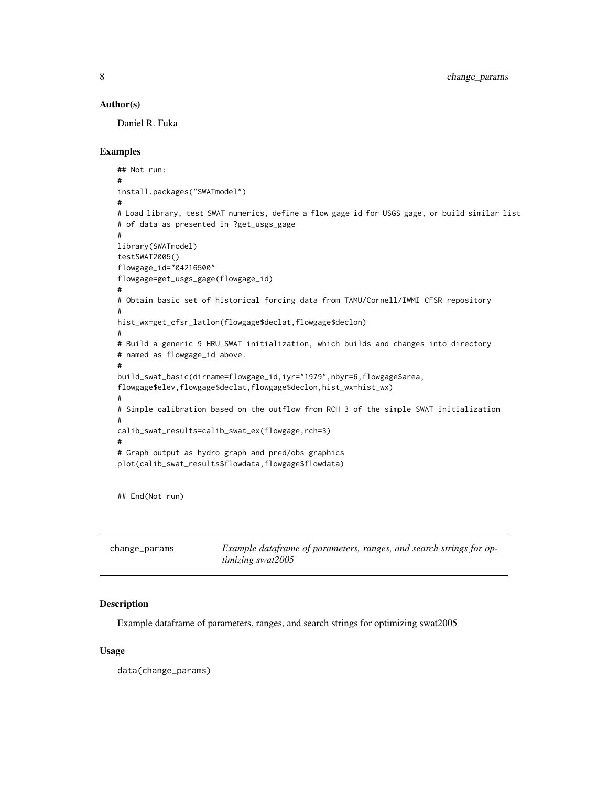#### <span id="page-7-0"></span>Author(s)

Daniel R. Fuka

#### Examples

```
## Not run:
#
install.packages("SWATmodel")
#
# Load library, test SWAT numerics, define a flow gage id for USGS gage, or build similar list
# of data as presented in ?get_usgs_gage
#
library(SWATmodel)
testSWAT2005()
flowgage_id="04216500"
flowgage=get_usgs_gage(flowgage_id)
#
# Obtain basic set of historical forcing data from TAMU/Cornell/IWMI CFSR repository
#
hist_wx=get_cfsr_latlon(flowgage$declat,flowgage$declon)
#
# Build a generic 9 HRU SWAT initialization, which builds and changes into directory
# named as flowgage_id above.
#
build_swat_basic(dirname=flowgage_id,iyr="1979",nbyr=6,flowgage$area,
flowgage$elev,flowgage$declat,flowgage$declon,hist_wx=hist_wx)
#
# Simple calibration based on the outflow from RCH 3 of the simple SWAT initialization
#
calib_swat_results=calib_swat_ex(flowgage,rch=3)
#
# Graph output as hydro graph and pred/obs graphics
plot(calib_swat_results$flowdata,flowgage$flowdata)
```
## End(Not run)

| change_params | Example dataframe of parameters, ranges, and search strings for op- |
|---------------|---------------------------------------------------------------------|
|               | timizing swat2005                                                   |

#### Description

Example dataframe of parameters, ranges, and search strings for optimizing swat2005

#### Usage

data(change\_params)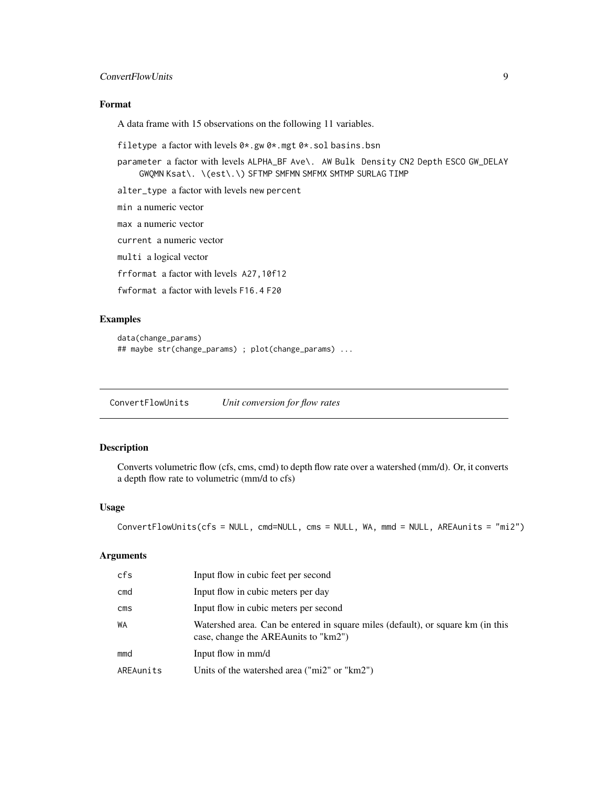# <span id="page-8-0"></span>ConvertFlowUnits 9

# Format

A data frame with 15 observations on the following 11 variables.

filetype a factor with levels 0\*.gw 0\*.mgt 0\*.sol basins.bsn

parameter a factor with levels ALPHA\_BF Ave\. AW Bulk Density CN2 Depth ESCO GW\_DELAY GWQMN Ksat\. \(est\.\) SFTMP SMFMN SMFMX SMTMP SURLAG TIMP

alter\_type a factor with levels new percent

min a numeric vector max a numeric vector current a numeric vector multi a logical vector frformat a factor with levels A27,10f12 fwformat a factor with levels F16.4 F20

#### Examples

```
data(change_params)
## maybe str(change_params) ; plot(change_params) ...
```
ConvertFlowUnits *Unit conversion for flow rates*

# Description

Converts volumetric flow (cfs, cms, cmd) to depth flow rate over a watershed (mm/d). Or, it converts a depth flow rate to volumetric (mm/d to cfs)

# Usage

```
ConvertFlowUnits(cfs = NULL, cmd=NULL, cms = NULL, WA, mmd = NULL, AREAunits = "mi2")
```
# Arguments

| cfs                     | Input flow in cubic feet per second                                                                                     |
|-------------------------|-------------------------------------------------------------------------------------------------------------------------|
| cmd                     | Input flow in cubic meters per day                                                                                      |
| $\mathsf{cm}\mathsf{s}$ | Input flow in cubic meters per second                                                                                   |
| <b>WA</b>               | Watershed area. Can be entered in square miles (default), or square km (in this<br>case, change the AREAunits to "km2") |
| mmd                     | Input flow in mm/d                                                                                                      |
| AREAunits               | Units of the watershed area ("mi2" or " $km2$ ")                                                                        |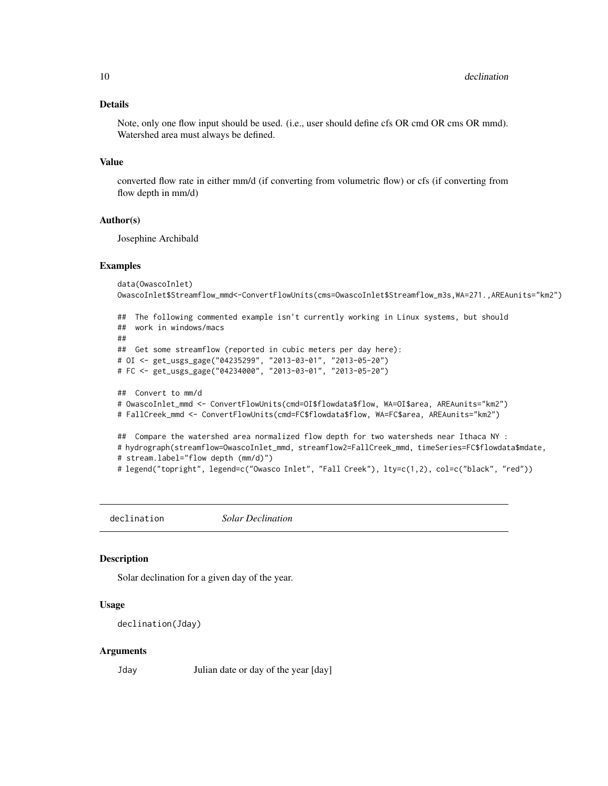# <span id="page-9-0"></span>Details

Note, only one flow input should be used. (i.e., user should define cfs OR cmd OR cms OR mmd). Watershed area must always be defined.

#### Value

converted flow rate in either mm/d (if converting from volumetric flow) or cfs (if converting from flow depth in mm/d)

#### Author(s)

Josephine Archibald

#### Examples

```
data(OwascoInlet)
OwascoInlet$Streamflow_mmd<-ConvertFlowUnits(cms=OwascoInlet$Streamflow_m3s,WA=271.,AREAunits="km2")
## The following commented example isn't currently working in Linux systems, but should
## work in windows/macs
```

```
##
## Get some streamflow (reported in cubic meters per day here):
# OI <- get_usgs_gage("04235299", "2013-03-01", "2013-05-20")
# FC <- get_usgs_gage("04234000", "2013-03-01", "2013-05-20")
```

```
## Convert to mm/d
# OwascoInlet_mmd <- ConvertFlowUnits(cmd=OI$flowdata$flow, WA=OI$area, AREAunits="km2")
# FallCreek_mmd <- ConvertFlowUnits(cmd=FC$flowdata$flow, WA=FC$area, AREAunits="km2")
```

```
## Compare the watershed area normalized flow depth for two watersheds near Ithaca NY :
# hydrograph(streamflow=OwascoInlet_mmd, streamflow2=FallCreek_mmd, timeSeries=FC$flowdata$mdate,
# stream.label="flow depth (mm/d)")
# legend("topright", legend=c("Owasco Inlet", "Fall Creek"), lty=c(1,2), col=c("black", "red"))
```
declination *Solar Declination*

#### **Description**

Solar declination for a given day of the year.

#### Usage

```
declination(Jday)
```
#### Arguments

Jday Julian date or day of the year [day]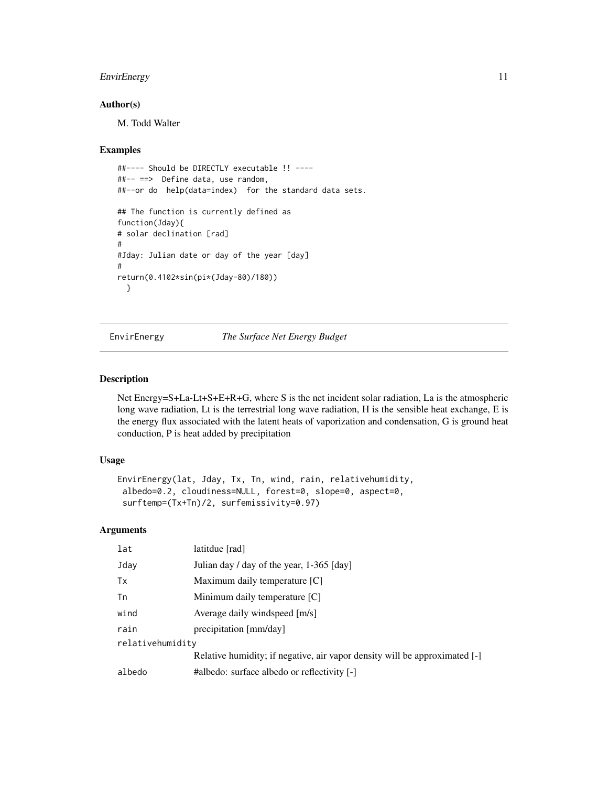# <span id="page-10-0"></span>EnvirEnergy 11

#### Author(s)

M. Todd Walter

#### Examples

```
##---- Should be DIRECTLY executable !! ----
##-- ==> Define data, use random,
##--or do help(data=index) for the standard data sets.
## The function is currently defined as
function(Jday){
# solar declination [rad]
#
#Jday: Julian date or day of the year [day]
#
return(0.4102*sin(pi*(Jday-80)/180))
 }
```
EnvirEnergy *The Surface Net Energy Budget*

#### Description

Net Energy=S+La-Lt+S+E+R+G, where S is the net incident solar radiation, La is the atmospheric long wave radiation, Lt is the terrestrial long wave radiation, H is the sensible heat exchange, E is the energy flux associated with the latent heats of vaporization and condensation, G is ground heat conduction, P is heat added by precipitation

#### Usage

```
EnvirEnergy(lat, Jday, Tx, Tn, wind, rain, relativehumidity,
albedo=0.2, cloudiness=NULL, forest=0, slope=0, aspect=0,
surftemp=(Tx+Tn)/2, surfemissivity=0.97)
```
# Arguments

| lat              | latitdue [rad]                                                             |
|------------------|----------------------------------------------------------------------------|
| Jday             | Julian day / day of the year, 1-365 [day]                                  |
| Tx               | Maximum daily temperature [C]                                              |
| Tn               | Minimum daily temperature [C]                                              |
| wind             | Average daily windspeed [m/s]                                              |
| rain             | precipitation [mm/day]                                                     |
| relativehumidity |                                                                            |
|                  | Relative humidity; if negative, air vapor density will be approximated [-] |
| albedo           | #albedo: surface albedo or reflectivity [-]                                |
|                  |                                                                            |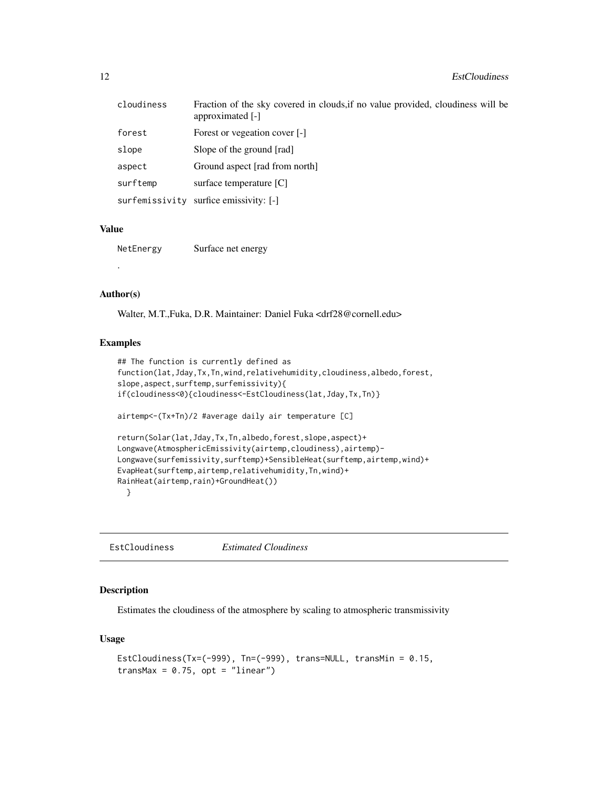<span id="page-11-0"></span>

| cloudiness     | Fraction of the sky covered in clouds, if no value provided, cloudiness will be<br>approximated [-] |
|----------------|-----------------------------------------------------------------------------------------------------|
| forest         | Forest or vegeation cover [-]                                                                       |
| slope          | Slope of the ground [rad]                                                                           |
| aspect         | Ground aspect [rad from north]                                                                      |
| surftemp       | surface temperature [C]                                                                             |
| surfemissivity | surfice emissivity: [-]                                                                             |

# Value

NetEnergy Surface net energy

# Author(s)

.

Walter, M.T.,Fuka, D.R. Maintainer: Daniel Fuka <drf28@cornell.edu>

#### Examples

```
## The function is currently defined as
function(lat,Jday,Tx,Tn,wind,relativehumidity,cloudiness,albedo,forest,
slope,aspect,surftemp,surfemissivity){
if(cloudiness<0){cloudiness<-EstCloudiness(lat,Jday,Tx,Tn)}
airtemp<-(Tx+Tn)/2 #average daily air temperature [C]
return(Solar(lat,Jday,Tx,Tn,albedo,forest,slope,aspect)+
Longwave(AtmosphericEmissivity(airtemp,cloudiness),airtemp)-
Longwave(surfemissivity,surftemp)+SensibleHeat(surftemp,airtemp,wind)+
EvapHeat(surftemp,airtemp,relativehumidity,Tn,wind)+
RainHeat(airtemp,rain)+GroundHeat())
  }
```
EstCloudiness *Estimated Cloudiness*

# Description

Estimates the cloudiness of the atmosphere by scaling to atmospheric transmissivity

# Usage

```
EstCloudiness(Tx=(-999), Tn=(-999), trans=NULL, transMin = 0.15,
transMax = 0.75, opt = "linear")
```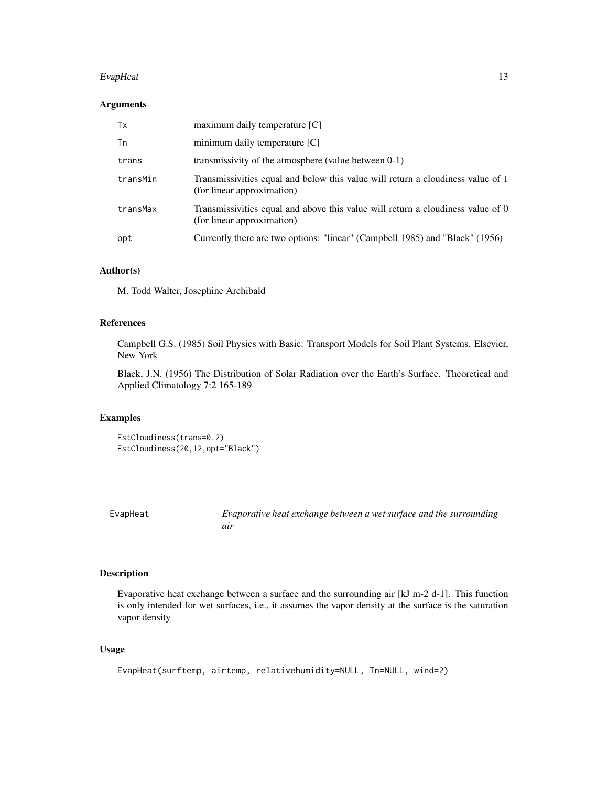#### <span id="page-12-0"></span>EvapHeat 13

# Arguments

| Tx       | $maximum$ daily temperature $[C]$                                                                             |
|----------|---------------------------------------------------------------------------------------------------------------|
| Tn       | minimum daily temperature $[C]$                                                                               |
| trans    | transmissivity of the atmosphere (value between 0-1)                                                          |
| transMin | Transmissivities equal and below this value will return a cloudiness value of 1<br>(for linear approximation) |
| transMax | Transmissivities equal and above this value will return a cloudiness value of 0<br>(for linear approximation) |
| opt      | Currently there are two options: "linear" (Campbell 1985) and "Black" (1956)                                  |

# Author(s)

M. Todd Walter, Josephine Archibald

# References

Campbell G.S. (1985) Soil Physics with Basic: Transport Models for Soil Plant Systems. Elsevier, New York

Black, J.N. (1956) The Distribution of Solar Radiation over the Earth's Surface. Theoretical and Applied Climatology 7:2 165-189

# Examples

EstCloudiness(trans=0.2) EstCloudiness(20,12,opt="Black")

EvapHeat *Evaporative heat exchange between a wet surface and the surrounding air*

# Description

Evaporative heat exchange between a surface and the surrounding air [kJ m-2 d-1]. This function is only intended for wet surfaces, i.e., it assumes the vapor density at the surface is the saturation vapor density

# Usage

EvapHeat(surftemp, airtemp, relativehumidity=NULL, Tn=NULL, wind=2)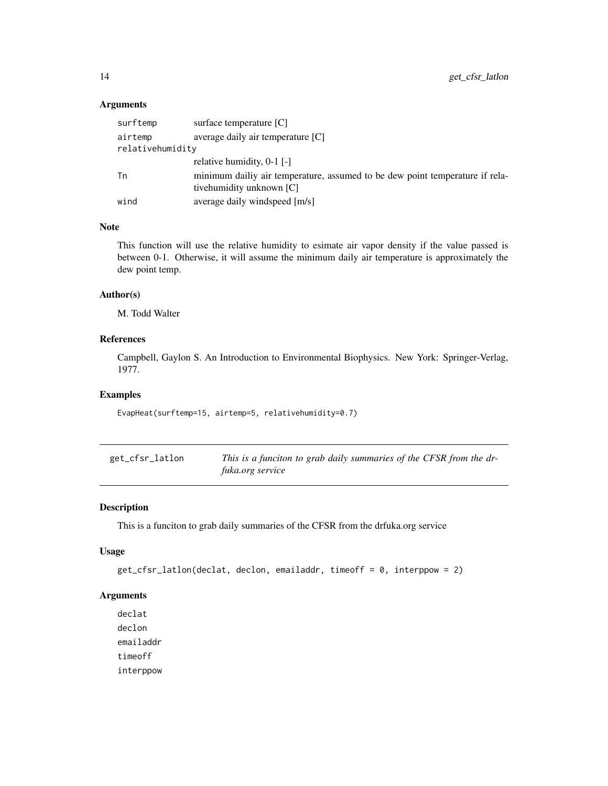# <span id="page-13-0"></span>Arguments

| surftemp         | surface temperature [C]                                                                                  |
|------------------|----------------------------------------------------------------------------------------------------------|
| airtemp          | average daily air temperature [C]                                                                        |
| relativehumidity |                                                                                                          |
|                  | relative humidity, $0-1$ [-]                                                                             |
| Тn               | minimum dailiy air temperature, assumed to be dew point temperature if rela-<br>tivehumidity unknown [C] |
| wind             | average daily windspeed [m/s]                                                                            |

# Note

This function will use the relative humidity to esimate air vapor density if the value passed is between 0-1. Otherwise, it will assume the minimum daily air temperature is approximately the dew point temp.

#### Author(s)

M. Todd Walter

# References

Campbell, Gaylon S. An Introduction to Environmental Biophysics. New York: Springer-Verlag, 1977.

#### Examples

EvapHeat(surftemp=15, airtemp=5, relativehumidity=0.7)

| get_cfsr_latlon | This is a funciton to grab daily summaries of the CFSR from the dr- |
|-----------------|---------------------------------------------------------------------|
|                 | <i>fuka.org service</i>                                             |

# Description

This is a funciton to grab daily summaries of the CFSR from the drfuka.org service

# Usage

```
get_cfsr_latlon(declat, declon, emailaddr, timeoff = 0, interppow = 2)
```
# Arguments

declat declon emailaddr timeoff interppow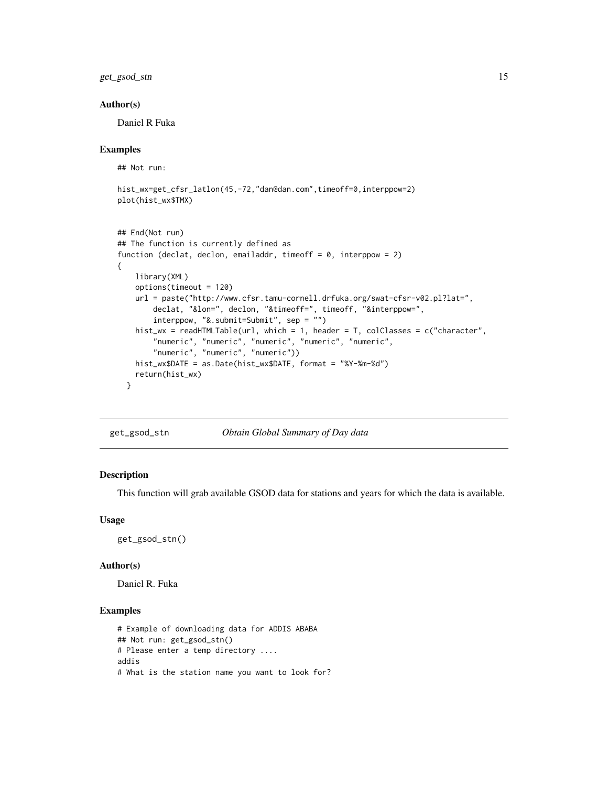<span id="page-14-0"></span>get\_gsod\_stn 15

#### Author(s)

Daniel R Fuka

#### Examples

## Not run:

```
hist_wx=get_cfsr_latlon(45,-72,"dan@dan.com",timeoff=0,interppow=2)
plot(hist_wx$TMX)
```

```
## End(Not run)
## The function is currently defined as
function (declat, declon, emailaddr, timeoff = 0, interppow = 2)
{
   library(XML)
   options(timeout = 120)
   url = paste("http://www.cfsr.tamu-cornell.drfuka.org/swat-cfsr-v02.pl?lat=",
       declat, "&lon=", declon, "&timeoff=", timeoff, "&interppow=",
        interppow, "&.submit=Submit", sep = "")
   hist_wx = readHTMLTable(url, which = 1, header = T, colClasses = c("character",
       "numeric", "numeric", "numeric", "numeric", "numeric",
        "numeric", "numeric", "numeric"))
   hist_wx$DATE = as.Date(hist_wx$DATE, format = "%Y-%m-%d")
   return(hist_wx)
 }
```

| get_gsod_stn | Obtain Global Summary of Day data |  |  |
|--------------|-----------------------------------|--|--|
|--------------|-----------------------------------|--|--|

# Description

This function will grab available GSOD data for stations and years for which the data is available.

#### Usage

get\_gsod\_stn()

#### Author(s)

Daniel R. Fuka

# Examples

```
# Example of downloading data for ADDIS ABABA
## Not run: get_gsod_stn()
# Please enter a temp directory ....
addis
# What is the station name you want to look for?
```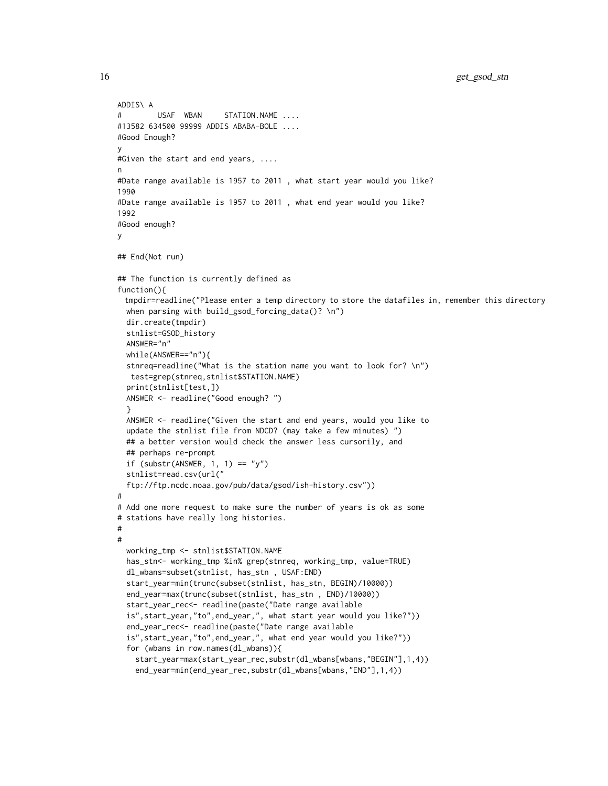```
ADDIS\ A
# USAF WBAN STATION.NAME ....
#13582 634500 99999 ADDIS ABABA-BOLE ....
#Good Enough?
y
#Given the start and end years, ....
n
#Date range available is 1957 to 2011 , what start year would you like?
1990
#Date range available is 1957 to 2011 , what end year would you like?
1992
#Good enough?
y
## End(Not run)
## The function is currently defined as
function(){
 tmpdir=readline("Please enter a temp directory to store the datafiles in, remember this directory
 when parsing with build_gsod_forcing_data()? \n")
 dir.create(tmpdir)
 stnlist=GSOD_history
 ANSWER="n"
 while(ANSWER=="n"){
 stnreq=readline("What is the station name you want to look for? \n")
  test=grep(stnreq,stnlist$STATION.NAME)
 print(stnlist[test,])
 ANSWER <- readline("Good enough? ")
  }
 ANSWER <- readline("Given the start and end years, would you like to
 update the stnlist file from NDCD? (may take a few minutes) ")
 ## a better version would check the answer less cursorily, and
 ## perhaps re-prompt
 if (substr(ANSWER, 1, 1) == "y")
 stnlist=read.csv(url("
 ftp://ftp.ncdc.noaa.gov/pub/data/gsod/ish-history.csv"))
#
# Add one more request to make sure the number of years is ok as some
# stations have really long histories.
#
#
 working_tmp <- stnlist$STATION.NAME
 has_stn<- working_tmp %in% grep(stnreq, working_tmp, value=TRUE)
 dl_wbans=subset(stnlist, has_stn , USAF:END)
 start_year=min(trunc(subset(stnlist, has_stn, BEGIN)/10000))
 end_year=max(trunc(subset(stnlist, has_stn , END)/10000))
 start_year_rec<- readline(paste("Date range available
 is",start_year,"to",end_year,", what start year would you like?"))
 end_year_rec<- readline(paste("Date range available
 is",start_year,"to",end_year,", what end year would you like?"))
 for (wbans in row.names(dl_wbans)){
    start_year=max(start_year_rec,substr(dl_wbans[wbans,"BEGIN"],1,4))
    end_year=min(end_year_rec,substr(dl_wbans[wbans,"END"],1,4))
```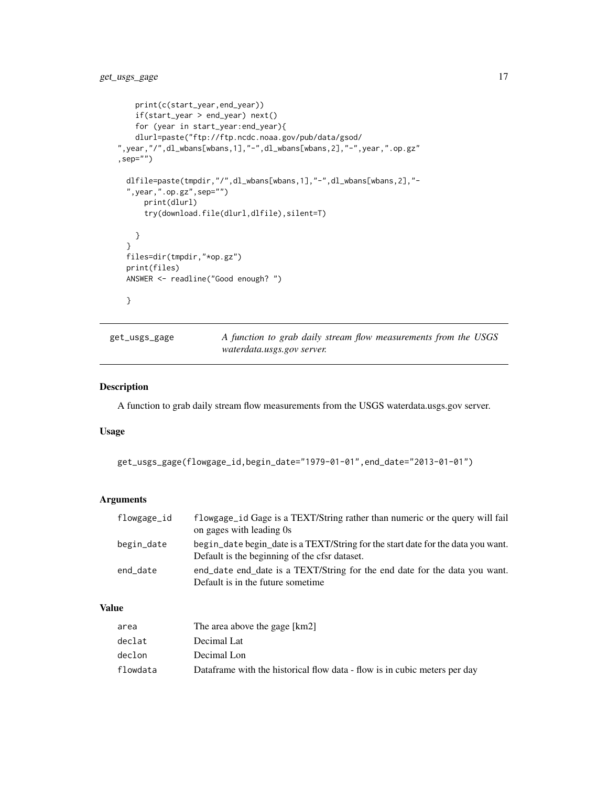```
print(c(start_year,end_year))
   if(start_year > end_year) next()
   for (year in start_year:end_year){
   dlurl=paste("ftp://ftp.ncdc.noaa.gov/pub/data/gsod/
",year,"/",dl_wbans[wbans,1],"-",dl_wbans[wbans,2],"-",year,".op.gz"
, sep=")
 dlfile=paste(tmpdir,"/",dl_wbans[wbans,1],"-",dl_wbans[wbans,2],"-
 ",year,".op.gz",sep="")
     print(dlurl)
     try(download.file(dlurl,dlfile),silent=T)
   }
 }
 files=dir(tmpdir,"*op.gz")
 print(files)
 ANSWER <- readline("Good enough? ")
 }
```
get\_usgs\_gage *A function to grab daily stream flow measurements from the USGS waterdata.usgs.gov server.*

# Description

A function to grab daily stream flow measurements from the USGS waterdata.usgs.gov server.

# Usage

```
get_usgs_gage(flowgage_id,begin_date="1979-01-01",end_date="2013-01-01")
```
# Arguments

| flowgage_id | flowgage_id Gage is a TEXT/String rather than numeric or the query will fail<br>on gages with leading 0s                          |  |
|-------------|-----------------------------------------------------------------------------------------------------------------------------------|--|
| begin_date  | begin_date begin_date is a TEXT/String for the start date for the data you want.<br>Default is the beginning of the cfsr dataset. |  |
| end_date    | end date end date is a TEXT/String for the end date for the data you want.<br>Default is in the future sometime.                  |  |

# Value

| area     | The area above the gage [km2]                                             |
|----------|---------------------------------------------------------------------------|
| declat   | Decimal Lat                                                               |
| declon   | Decimal Lon                                                               |
| flowdata | Dataframe with the historical flow data - flow is in cubic meters per day |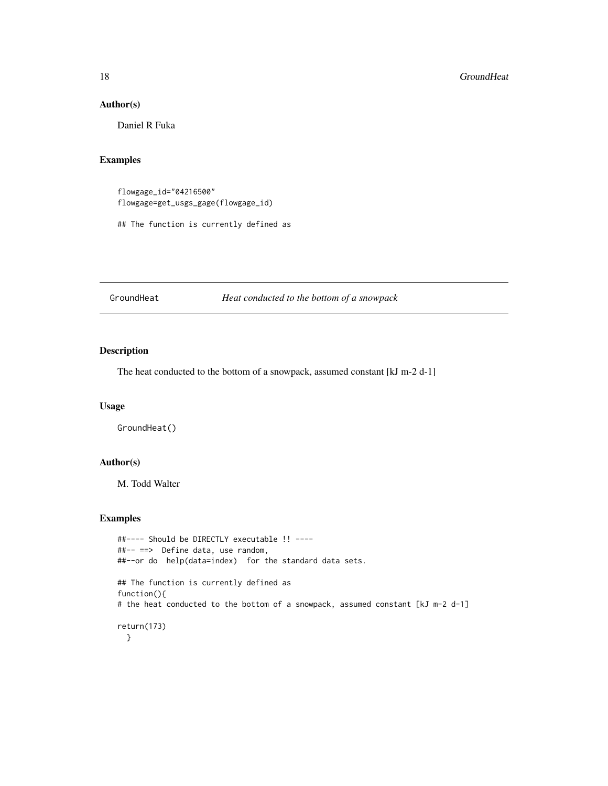#### Author(s)

Daniel R Fuka

# Examples

flowgage\_id="04216500" flowgage=get\_usgs\_gage(flowgage\_id)

## The function is currently defined as

GroundHeat *Heat conducted to the bottom of a snowpack*

# Description

The heat conducted to the bottom of a snowpack, assumed constant [kJ m-2 d-1]

# Usage

GroundHeat()

# Author(s)

M. Todd Walter

# Examples

```
##---- Should be DIRECTLY executable !! ----
##-- ==> Define data, use random,
##--or do help(data=index) for the standard data sets.
## The function is currently defined as
function(){
# the heat conducted to the bottom of a snowpack, assumed constant [kJ m-2 d-1]
return(173)
 }
```
<span id="page-17-0"></span>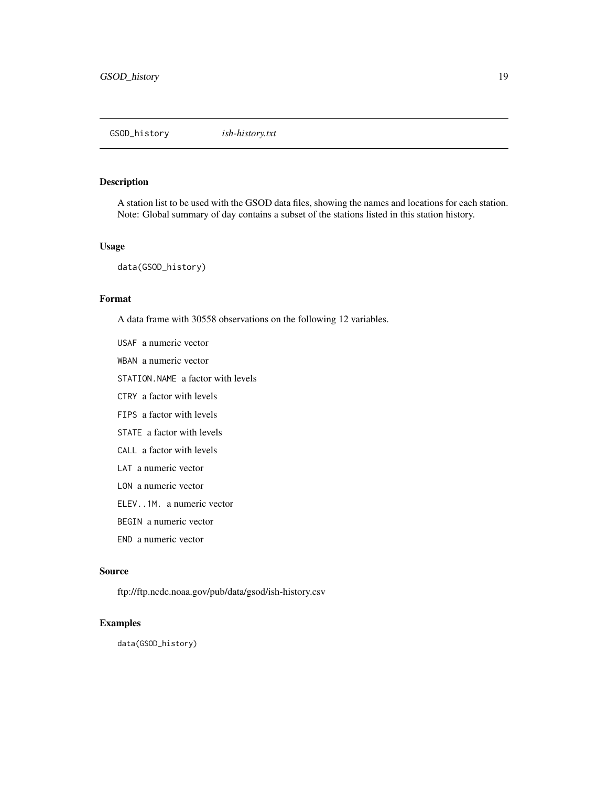<span id="page-18-0"></span>GSOD\_history *ish-history.txt*

#### Description

A station list to be used with the GSOD data files, showing the names and locations for each station. Note: Global summary of day contains a subset of the stations listed in this station history.

#### Usage

data(GSOD\_history)

#### Format

A data frame with 30558 observations on the following 12 variables.

USAF a numeric vector WBAN a numeric vector

STATION.NAME a factor with levels

CTRY a factor with levels

FIPS a factor with levels

STATE a factor with levels

CALL a factor with levels

LAT a numeric vector

LON a numeric vector

ELEV..1M. a numeric vector

BEGIN a numeric vector

END a numeric vector

#### Source

ftp://ftp.ncdc.noaa.gov/pub/data/gsod/ish-history.csv

#### Examples

data(GSOD\_history)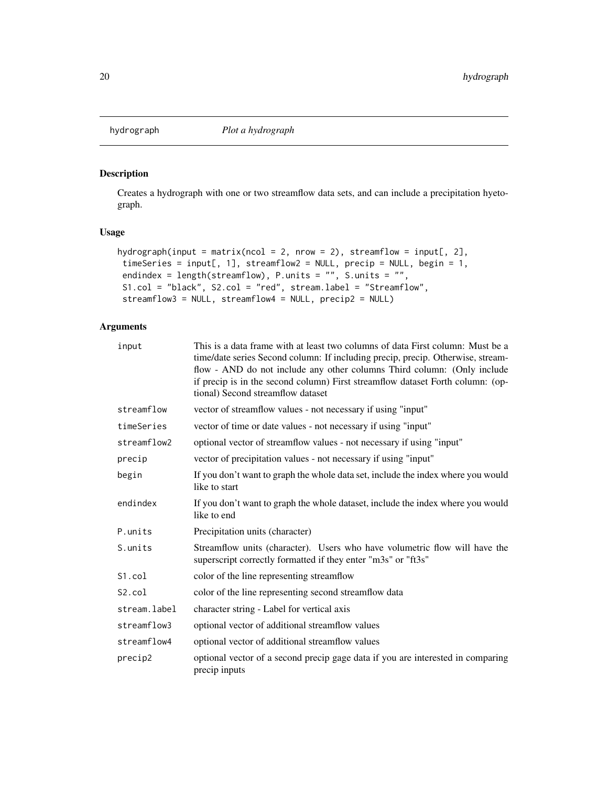<span id="page-19-0"></span>

# Description

Creates a hydrograph with one or two streamflow data sets, and can include a precipitation hyetograph.

# Usage

```
hydrograph(input = matrix(ncol = 2, nrow = 2), streamflow = input[, 2],
timeSeries = input[, 1], streamflow2 = NULL, precip = NULL, begin = 1,
endindex = length(streamflow), P.units = "", S.units = "",
S1.col = "black", S2.col = "red", stream.label = "Streamflow",
 streamflow3 = NULL, streamflow4 = NULL, precip2 = NULL)
```
# Arguments

| input        | This is a data frame with at least two columns of data First column: Must be a<br>time/date series Second column: If including precip, precip. Otherwise, stream-<br>flow - AND do not include any other columns Third column: (Only include<br>if precip is in the second column) First streamflow dataset Forth column: (op-<br>tional) Second streamflow dataset |
|--------------|---------------------------------------------------------------------------------------------------------------------------------------------------------------------------------------------------------------------------------------------------------------------------------------------------------------------------------------------------------------------|
| streamflow   | vector of streamflow values - not necessary if using "input"                                                                                                                                                                                                                                                                                                        |
| timeSeries   | vector of time or date values - not necessary if using "input"                                                                                                                                                                                                                                                                                                      |
| streamflow2  | optional vector of streamflow values - not necessary if using "input"                                                                                                                                                                                                                                                                                               |
| precip       | vector of precipitation values - not necessary if using "input"                                                                                                                                                                                                                                                                                                     |
| begin        | If you don't want to graph the whole data set, include the index where you would<br>like to start                                                                                                                                                                                                                                                                   |
| endindex     | If you don't want to graph the whole dataset, include the index where you would<br>like to end                                                                                                                                                                                                                                                                      |
| P.units      | Precipitation units (character)                                                                                                                                                                                                                                                                                                                                     |
| S.units      | Streamflow units (character). Users who have volumetric flow will have the<br>superscript correctly formatted if they enter "m3s" or "ft3s"                                                                                                                                                                                                                         |
| S1.col       | color of the line representing streamflow                                                                                                                                                                                                                                                                                                                           |
| S2.col       | color of the line representing second streamflow data                                                                                                                                                                                                                                                                                                               |
| stream.label | character string - Label for vertical axis                                                                                                                                                                                                                                                                                                                          |
| streamflow3  | optional vector of additional streamflow values                                                                                                                                                                                                                                                                                                                     |
| streamflow4  | optional vector of additional streamflow values                                                                                                                                                                                                                                                                                                                     |
| precip2      | optional vector of a second precip gage data if you are interested in comparing<br>precip inputs                                                                                                                                                                                                                                                                    |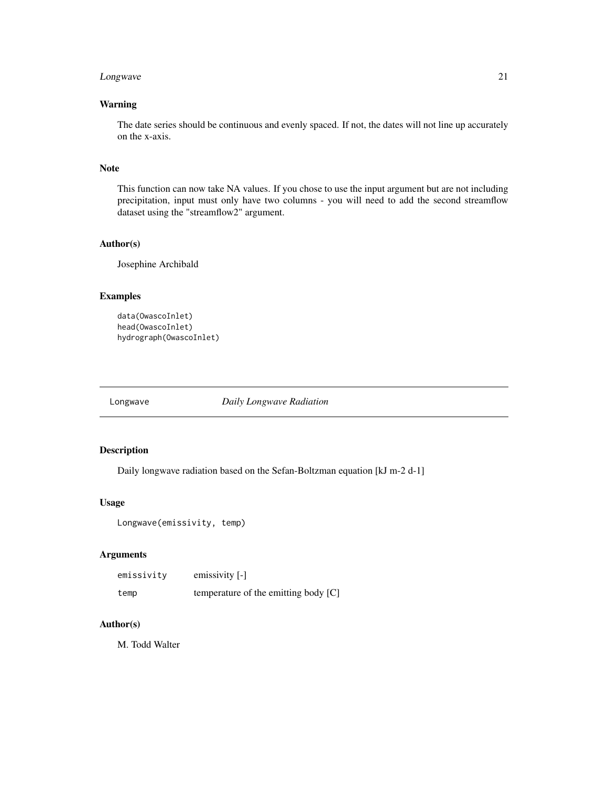# <span id="page-20-0"></span>Longwave 21

# Warning

The date series should be continuous and evenly spaced. If not, the dates will not line up accurately on the x-axis.

#### Note

This function can now take NA values. If you chose to use the input argument but are not including precipitation, input must only have two columns - you will need to add the second streamflow dataset using the "streamflow2" argument.

#### Author(s)

Josephine Archibald

### Examples

```
data(OwascoInlet)
head(OwascoInlet)
hydrograph(OwascoInlet)
```
Longwave *Daily Longwave Radiation*

# Description

Daily longwave radiation based on the Sefan-Boltzman equation [kJ m-2 d-1]

#### Usage

```
Longwave(emissivity, temp)
```
# Arguments

| emissivity | emissivity $[-]$                     |
|------------|--------------------------------------|
| temp       | temperature of the emitting body [C] |

# Author(s)

M. Todd Walter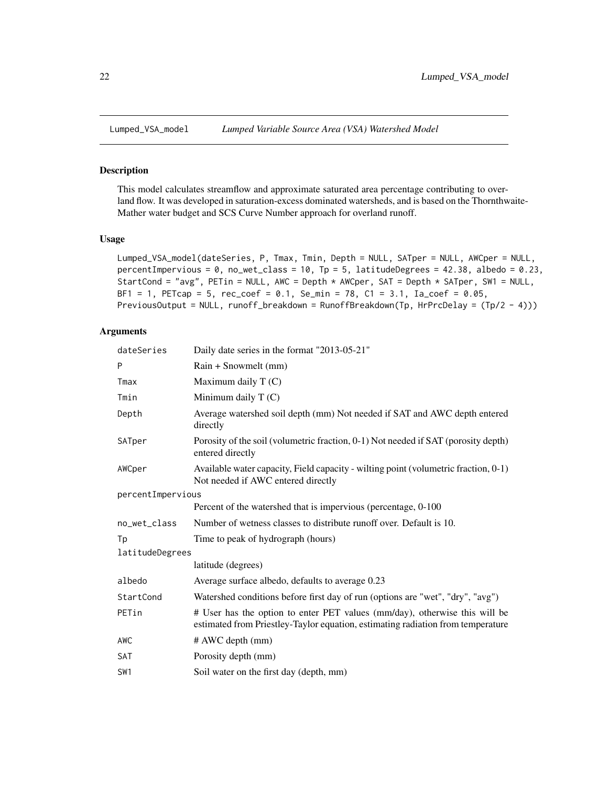<span id="page-21-0"></span>

# Description

This model calculates streamflow and approximate saturated area percentage contributing to overland flow. It was developed in saturation-excess dominated watersheds, and is based on the Thornthwaite-Mather water budget and SCS Curve Number approach for overland runoff.

#### Usage

```
Lumped_VSA_model(dateSeries, P, Tmax, Tmin, Depth = NULL, SATper = NULL, AWCper = NULL,
percentImpervious = 0, no\_wet_class = 10, Tp = 5, latticeDegrees = 42.38, albedo = 0.23,
StartCond = "avg", PETin = NULL, AWC = Depth * AWCper, SAT = Depth * SATper, SW1 = NULL,
BF1 = 1, PETcap = 5, rec_coef = 0.1, Se_min = 78, C1 = 3.1, Ia_coef = 0.05,
PreviousOutput = NULL, runoff_breakdown = RunoffBreakdown(Tp, HrPrcDelay = (Tp/2 - 4)))
```
# Arguments

| dateSeries        | Daily date series in the format "2013-05-21"                                                                                                                  |
|-------------------|---------------------------------------------------------------------------------------------------------------------------------------------------------------|
| P                 | Rain + Snowmelt (mm)                                                                                                                                          |
| Tmax              | Maximum daily $T(C)$                                                                                                                                          |
| Tmin              | Minimum daily $T(C)$                                                                                                                                          |
| Depth             | Average watershed soil depth (mm) Not needed if SAT and AWC depth entered<br>directly                                                                         |
| SATper            | Porosity of the soil (volumetric fraction, 0-1) Not needed if SAT (porosity depth)<br>entered directly                                                        |
| AWCper            | Available water capacity, Field capacity - wilting point (volumetric fraction, 0-1)<br>Not needed if AWC entered directly                                     |
| percentImpervious |                                                                                                                                                               |
|                   | Percent of the watershed that is impervious (percentage, 0-100)                                                                                               |
| no_wet_class      | Number of wetness classes to distribute runoff over. Default is 10.                                                                                           |
| Tp                | Time to peak of hydrograph (hours)                                                                                                                            |
| latitudeDegrees   |                                                                                                                                                               |
|                   | latitude (degrees)                                                                                                                                            |
| albedo            | Average surface albedo, defaults to average 0.23                                                                                                              |
| StartCond         | Watershed conditions before first day of run (options are "wet", "dry", "avg")                                                                                |
| PETin             | # User has the option to enter PET values (mm/day), otherwise this will be<br>estimated from Priestley-Taylor equation, estimating radiation from temperature |
| AWC               | # AWC depth (mm)                                                                                                                                              |
| SAT               | Porosity depth (mm)                                                                                                                                           |
| SW1               | Soil water on the first day (depth, mm)                                                                                                                       |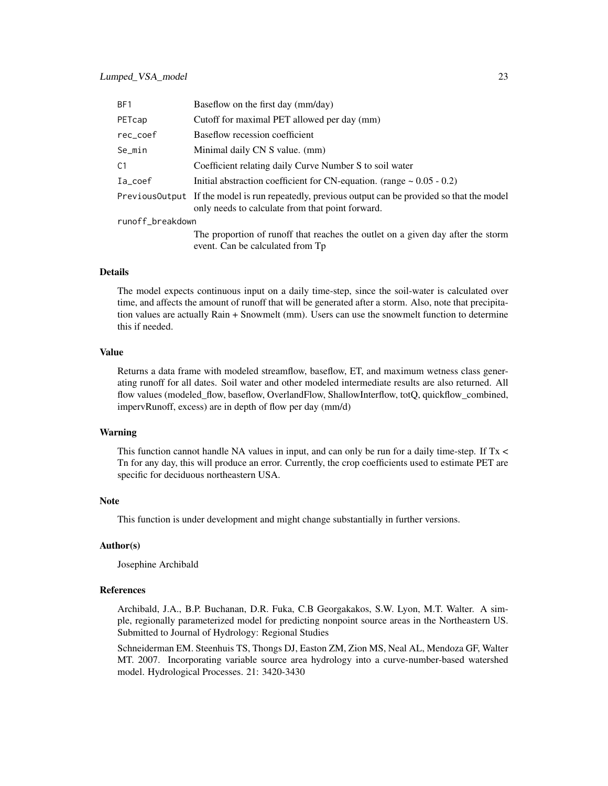| BF1              | Baseflow on the first day (mm/day)                                                                                                                    |
|------------------|-------------------------------------------------------------------------------------------------------------------------------------------------------|
| PETcap           | Cutoff for maximal PET allowed per day (mm)                                                                                                           |
| rec_coef         | Baseflow recession coefficient                                                                                                                        |
| Se_min           | Minimal daily CN S value. (mm)                                                                                                                        |
| C.1              | Coefficient relating daily Curve Number S to soil water                                                                                               |
| Ia_coef          | Initial abstraction coefficient for CN-equation. (range $\sim 0.05 - 0.2$ )                                                                           |
|                  | Previous Output If the model is run repeatedly, previous output can be provided so that the model<br>only needs to calculate from that point forward. |
| runoff_breakdown |                                                                                                                                                       |
|                  | mi 2001 March 2014 March 2014 March 2015                                                                                                              |

The proportion of runoff that reaches the outlet on a given day after the storm event. Can be calculated from Tp

#### Details

The model expects continuous input on a daily time-step, since the soil-water is calculated over time, and affects the amount of runoff that will be generated after a storm. Also, note that precipitation values are actually Rain + Snowmelt (mm). Users can use the snowmelt function to determine this if needed.

#### Value

Returns a data frame with modeled streamflow, baseflow, ET, and maximum wetness class generating runoff for all dates. Soil water and other modeled intermediate results are also returned. All flow values (modeled\_flow, baseflow, OverlandFlow, ShallowInterflow, totQ, quickflow\_combined, impervRunoff, excess) are in depth of flow per day (mm/d)

#### Warning

This function cannot handle NA values in input, and can only be run for a daily time-step. If Tx < Tn for any day, this will produce an error. Currently, the crop coefficients used to estimate PET are specific for deciduous northeastern USA.

#### **Note**

This function is under development and might change substantially in further versions.

#### Author(s)

Josephine Archibald

### References

Archibald, J.A., B.P. Buchanan, D.R. Fuka, C.B Georgakakos, S.W. Lyon, M.T. Walter. A simple, regionally parameterized model for predicting nonpoint source areas in the Northeastern US. Submitted to Journal of Hydrology: Regional Studies

Schneiderman EM. Steenhuis TS, Thongs DJ, Easton ZM, Zion MS, Neal AL, Mendoza GF, Walter MT. 2007. Incorporating variable source area hydrology into a curve-number-based watershed model. Hydrological Processes. 21: 3420-3430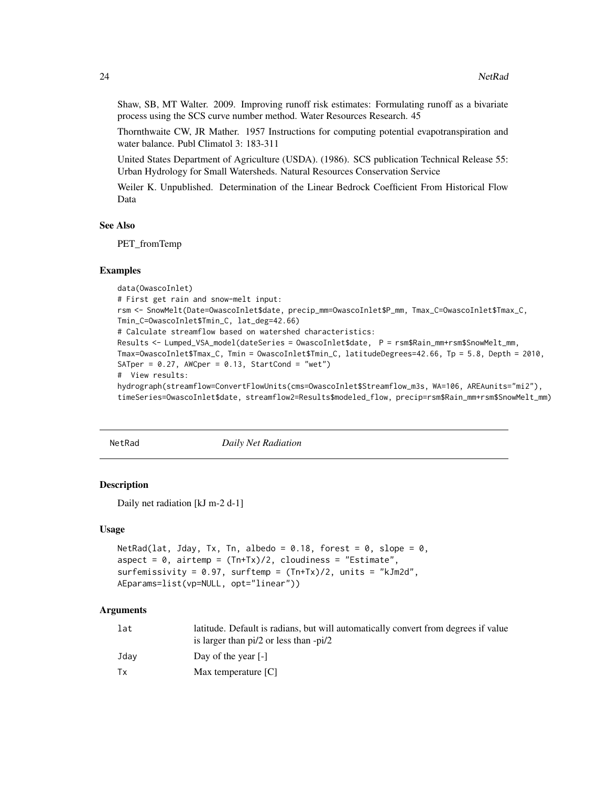<span id="page-23-0"></span>Shaw, SB, MT Walter. 2009. Improving runoff risk estimates: Formulating runoff as a bivariate process using the SCS curve number method. Water Resources Research. 45

Thornthwaite CW, JR Mather. 1957 Instructions for computing potential evapotranspiration and water balance. Publ Climatol 3: 183-311

United States Department of Agriculture (USDA). (1986). SCS publication Technical Release 55: Urban Hydrology for Small Watersheds. Natural Resources Conservation Service

Weiler K. Unpublished. Determination of the Linear Bedrock Coefficient From Historical Flow Data

#### See Also

PET\_fromTemp

#### Examples

```
data(OwascoInlet)
# First get rain and snow-melt input:
rsm <- SnowMelt(Date=OwascoInlet$date, precip_mm=OwascoInlet$P_mm, Tmax_C=OwascoInlet$Tmax_C,
Tmin_C=OwascoInlet$Tmin_C, lat_deg=42.66)
# Calculate streamflow based on watershed characteristics:
Results <- Lumped_VSA_model(dateSeries = OwascoInlet$date, P = rsm$Rain_mm+rsm$SnowMelt_mm,
Tmax=OwascoInlet$Tmax_C, Tmin = OwascoInlet$Tmin_C, latitudeDegrees=42.66, Tp = 5.8, Depth = 2010,
SATper = 0.27, AWCper = 0.13, StartCond = "wet")
# View results:
hydrograph(streamflow=ConvertFlowUnits(cms=OwascoInlet$Streamflow_m3s, WA=106, AREAunits="mi2"),
timeSeries=OwascoInlet$date, streamflow2=Results$modeled_flow, precip=rsm$Rain_mm+rsm$SnowMelt_mm)
```
NetRad *Daily Net Radiation*

#### Description

Daily net radiation [kJ m-2 d-1]

#### Usage

```
NetRad(lat, Jday, Tx, Tn, albedo = 0.18, forest = 0, slope = 0,
aspect = 0, airtemp = (Tn+Tx)/2, cloudiness = "Estimate",
surfemissivity = 0.97, surftemp = (Tn+Tx)/2, units = "kJm2d",
AEparams=list(vp=NULL, opt="linear"))
```
#### Arguments

| lat  | latitude. Default is radians, but will automatically convert from degrees if value<br>is larger than $pi/2$ or less than $-pi/2$ |
|------|----------------------------------------------------------------------------------------------------------------------------------|
| Jdav | Day of the year $\lceil - \rceil$                                                                                                |
| Тx   | Max temperature [C]                                                                                                              |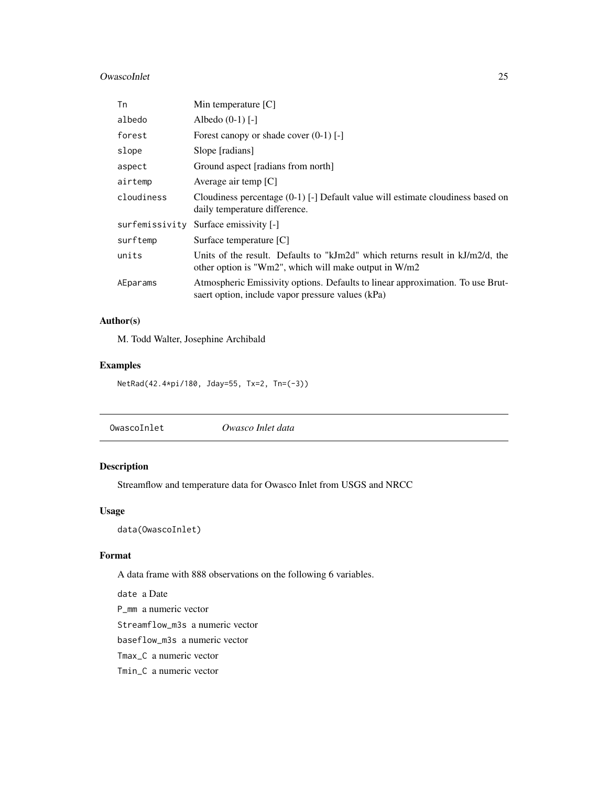# <span id="page-24-0"></span>OwascoInlet 25

| Tn             | Min temperature $[C]$                                                                                                                       |
|----------------|---------------------------------------------------------------------------------------------------------------------------------------------|
| albedo         | Albedo $(0-1)$ [-]                                                                                                                          |
| forest         | Forest can opy or shade cover $(0-1)$ [-]                                                                                                   |
| slope          | Slope [radians]                                                                                                                             |
| aspect         | Ground aspect [radians from north]                                                                                                          |
| airtemp        | Average air temp $[C]$                                                                                                                      |
| cloudiness     | Cloudiness percentage $(0-1)$ [-] Default value will estimate cloudiness based on<br>daily temperature difference.                          |
| surfemissivity | Surface emissivity [-]                                                                                                                      |
| surftemp       | Surface temperature [C]                                                                                                                     |
| units          | Units of the result. Defaults to "kJm2d" which returns result in $kJ/m2/d$ , the<br>other option is "Wm2", which will make output in $W/m2$ |
| AEparams       | Atmospheric Emissivity options. Defaults to linear approximation. To use Brut-<br>saert option, include vapor pressure values (kPa)         |

# Author(s)

M. Todd Walter, Josephine Archibald

# Examples

NetRad(42.4\*pi/180, Jday=55, Tx=2, Tn=(-3))

| Owasco Inlet data |
|-------------------|
|                   |

# Description

Streamflow and temperature data for Owasco Inlet from USGS and NRCC

# Usage

data(OwascoInlet)

# Format

A data frame with 888 observations on the following 6 variables.

date a Date P\_mm a numeric vector Streamflow\_m3s a numeric vector baseflow\_m3s a numeric vector Tmax\_C a numeric vector Tmin\_C a numeric vector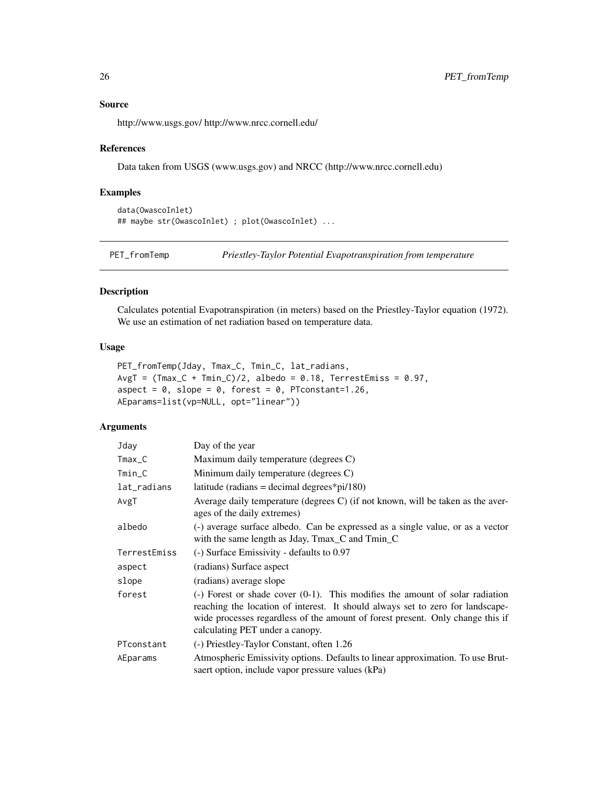# Source

http://www.usgs.gov/ http://www.nrcc.cornell.edu/

#### References

Data taken from USGS (www.usgs.gov) and NRCC (http://www.nrcc.cornell.edu)

# Examples

```
data(OwascoInlet)
## maybe str(OwascoInlet) ; plot(OwascoInlet) ...
```
PET\_fromTemp *Priestley-Taylor Potential Evapotranspiration from temperature*

# Description

Calculates potential Evapotranspiration (in meters) based on the Priestley-Taylor equation (1972). We use an estimation of net radiation based on temperature data.

# Usage

```
PET_fromTemp(Jday, Tmax_C, Tmin_C, lat_radians,
AvgT = (Trans_C + Timin_C)/2, albedo = 0.18, TerrestEmiss = 0.97,
aspect = 0, slope = 0, forest = 0, PTconstant=1.26,
AEparams=list(vp=NULL, opt="linear"))
```
# Arguments

| Jday         | Day of the year                                                                                                                                                                                                                                                                                     |
|--------------|-----------------------------------------------------------------------------------------------------------------------------------------------------------------------------------------------------------------------------------------------------------------------------------------------------|
| $Tmax_C$     | Maximum daily temperature (degrees C)                                                                                                                                                                                                                                                               |
| Tmin_C       | Minimum daily temperature (degrees C)                                                                                                                                                                                                                                                               |
| lat_radians  | latitude (radians = decimal degrees*pi/180)                                                                                                                                                                                                                                                         |
| AvgT         | Average daily temperature (degrees C) (if not known, will be taken as the aver-<br>ages of the daily extremes)                                                                                                                                                                                      |
| albedo       | (-) average surface albedo. Can be expressed as a single value, or as a vector<br>with the same length as Jday, Tmax_C and Tmin_C                                                                                                                                                                   |
| TerrestEmiss | (-) Surface Emissivity - defaults to 0.97                                                                                                                                                                                                                                                           |
| aspect       | (radians) Surface aspect                                                                                                                                                                                                                                                                            |
| slope        | (radians) average slope                                                                                                                                                                                                                                                                             |
| forest       | $\left(-\right)$ Forest or shade cover $(0-1)$ . This modifies the amount of solar radiation<br>reaching the location of interest. It should always set to zero for landscape-<br>wide processes regardless of the amount of forest present. Only change this if<br>calculating PET under a canopy. |
| PTconstant   | (-) Priestley-Taylor Constant, often 1.26                                                                                                                                                                                                                                                           |
| AEparams     | Atmospheric Emissivity options. Defaults to linear approximation. To use Brut-<br>saert option, include vapor pressure values (kPa)                                                                                                                                                                 |

<span id="page-25-0"></span>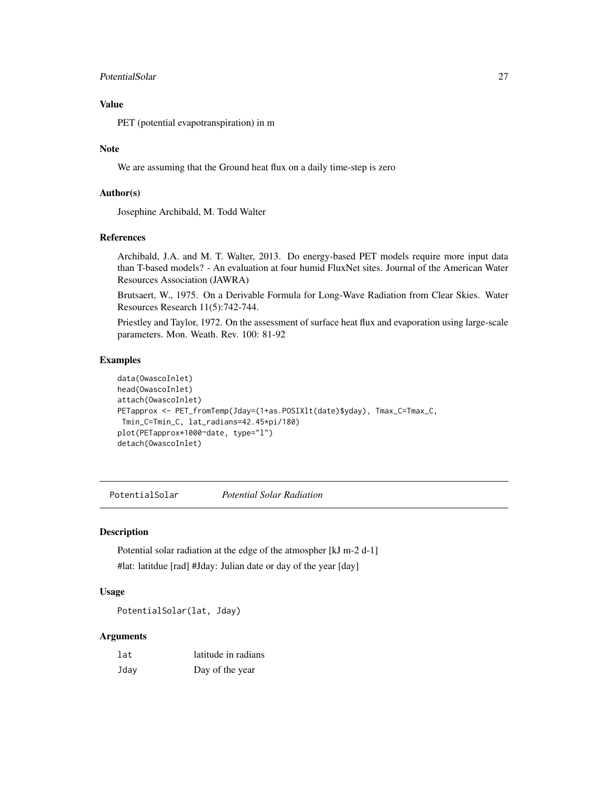# <span id="page-26-0"></span>PotentialSolar 27

# Value

PET (potential evapotranspiration) in m

#### Note

We are assuming that the Ground heat flux on a daily time-step is zero

# Author(s)

Josephine Archibald, M. Todd Walter

#### References

Archibald, J.A. and M. T. Walter, 2013. Do energy-based PET models require more input data than T-based models? - An evaluation at four humid FluxNet sites. Journal of the American Water Resources Association (JAWRA)

Brutsaert, W., 1975. On a Derivable Formula for Long-Wave Radiation from Clear Skies. Water Resources Research 11(5):742-744.

Priestley and Taylor, 1972. On the assessment of surface heat flux and evaporation using large-scale parameters. Mon. Weath. Rev. 100: 81-92

# Examples

```
data(OwascoInlet)
head(OwascoInlet)
attach(OwascoInlet)
PETapprox <- PET_fromTemp(Jday=(1+as.POSIXlt(date)$yday), Tmax_C=Tmax_C,
Tmin_C=Tmin_C, lat_radians=42.45*pi/180)
plot(PETapprox*1000~date, type="l")
detach(OwascoInlet)
```
PotentialSolar *Potential Solar Radiation*

# Description

Potential solar radiation at the edge of the atmospher [kJ m-2 d-1] #lat: latitdue [rad] #Jday: Julian date or day of the year [day]

# Usage

PotentialSolar(lat, Jday)

#### Arguments

| lat  | latitude in radians |
|------|---------------------|
| Jday | Day of the year     |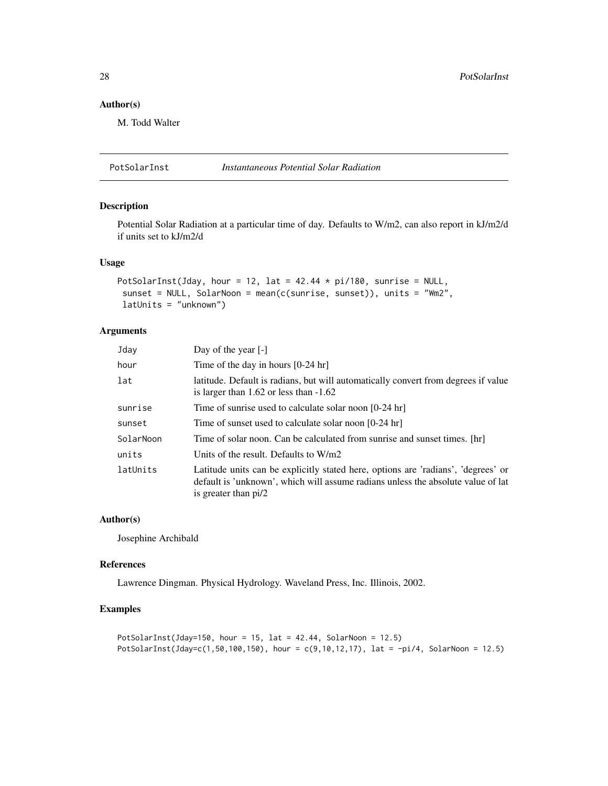# <span id="page-27-0"></span>Author(s)

M. Todd Walter

PotSolarInst *Instantaneous Potential Solar Radiation*

# Description

Potential Solar Radiation at a particular time of day. Defaults to W/m2, can also report in kJ/m2/d if units set to kJ/m2/d

# Usage

```
PotSolarInst(Jday, hour = 12, lat = 42.44 * pi/180, sunrise = NULL,
 sunset = NULL, SolarNoon = mean(c(sunrise, sunset)), units = "Wm2",
latUnits = "unknown")
```
# Arguments

| Jday      | Day of the year $[-]$                                                                                                                                                                         |
|-----------|-----------------------------------------------------------------------------------------------------------------------------------------------------------------------------------------------|
| hour      | Time of the day in hours $[0-24$ hr]                                                                                                                                                          |
| lat       | latitude. Default is radians, but will automatically convert from degrees if value<br>is larger than $1.62$ or less than $-1.62$                                                              |
| sunrise   | Time of sunrise used to calculate solar noon [0-24 hr]                                                                                                                                        |
| sunset    | Time of sunset used to calculate solar noon [0-24 hr]                                                                                                                                         |
| SolarNoon | Time of solar noon. Can be calculated from sunrise and sunset times. [hr]                                                                                                                     |
| units     | Units of the result. Defaults to W/m2                                                                                                                                                         |
| latUnits  | Latitude units can be explicitly stated here, options are 'radians', 'degrees' or<br>default is 'unknown', which will assume radians unless the absolute value of lat<br>is greater than pi/2 |

#### Author(s)

Josephine Archibald

#### References

Lawrence Dingman. Physical Hydrology. Waveland Press, Inc. Illinois, 2002.

# Examples

```
PotSolarInst(Jday=150, hour = 15, lat = 42.44, SolarNoon = 12.5)
PotSolarInst(Jday=c(1,50,100,150), hour = c(9,10,12,17), lat = -pi/4, SolarNoon = 12.5)
```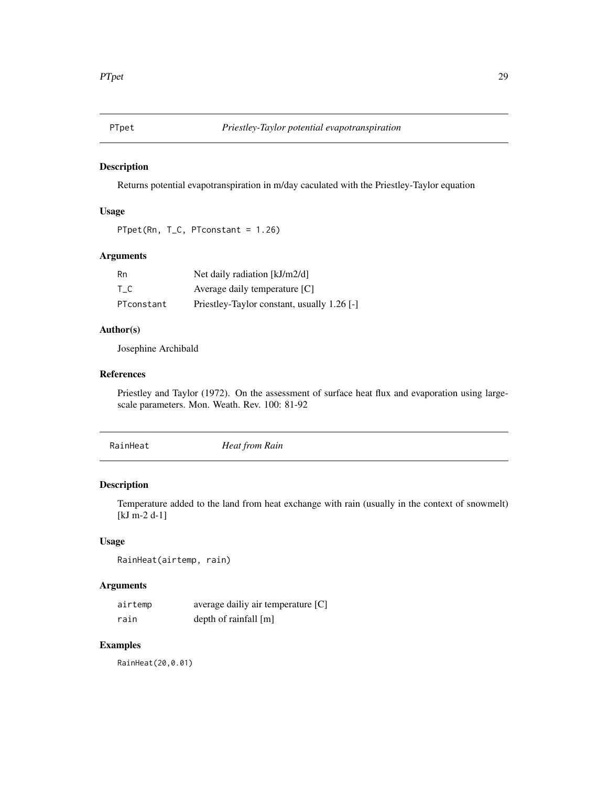<span id="page-28-0"></span>

# Description

Returns potential evapotranspiration in m/day caculated with the Priestley-Taylor equation

#### Usage

```
PTpet(Rn, T_C, PTconstant = 1.26)
```
# Arguments

| Rn         | Net daily radiation [kJ/m2/d]               |
|------------|---------------------------------------------|
| T C        | Average daily temperature $[C]$             |
| PTconstant | Priestley-Taylor constant, usually 1.26 [-] |

#### Author(s)

Josephine Archibald

#### References

Priestley and Taylor (1972). On the assessment of surface heat flux and evaporation using largescale parameters. Mon. Weath. Rev. 100: 81-92

| RainHeat<br>Heat from Rain |  |
|----------------------------|--|
|----------------------------|--|

# Description

Temperature added to the land from heat exchange with rain (usually in the context of snowmelt) [kJ m-2 d-1]

### Usage

RainHeat(airtemp, rain)

# Arguments

| airtemp | average dailiy air temperature [C] |
|---------|------------------------------------|
| rain    | depth of rainfall $[m]$            |

# Examples

RainHeat(20,0.01)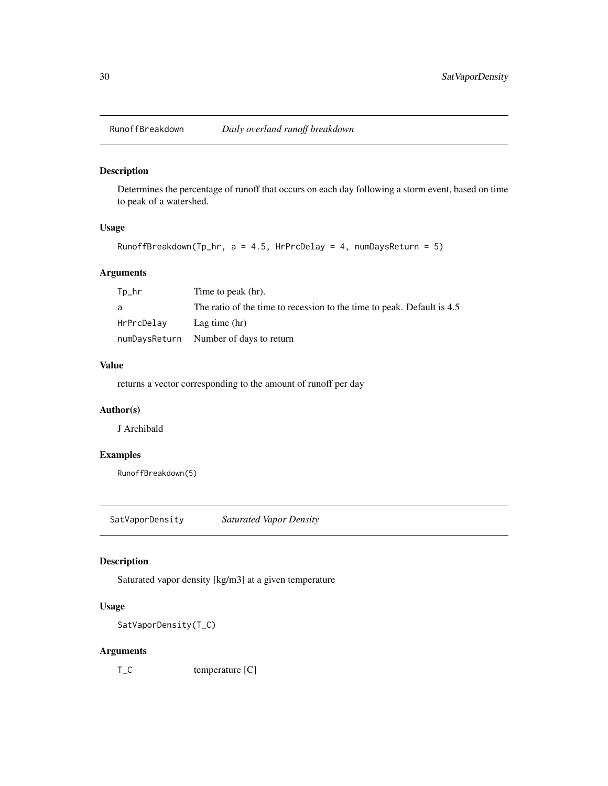<span id="page-29-0"></span>

# Description

Determines the percentage of runoff that occurs on each day following a storm event, based on time to peak of a watershed.

#### Usage

RunoffBreakdown(Tp\_hr,  $a = 4.5$ , HrPrcDelay = 4, numDaysReturn = 5)

# Arguments

| $Tp_h$ r   | Time to peak (hr).                                                     |
|------------|------------------------------------------------------------------------|
| a          | The ratio of the time to recession to the time to peak. Default is 4.5 |
| HrPrcDelay | Lag time $(hr)$                                                        |
|            | numDaysReturn Number of days to return                                 |

# Value

returns a vector corresponding to the amount of runoff per day

# Author(s)

J Archibald

# Examples

RunoffBreakdown(5)

SatVaporDensity *Saturated Vapor Density*

#### Description

Saturated vapor density [kg/m3] at a given temperature

# Usage

```
SatVaporDensity(T_C)
```
#### Arguments

T<sub>C</sub> temperature [C]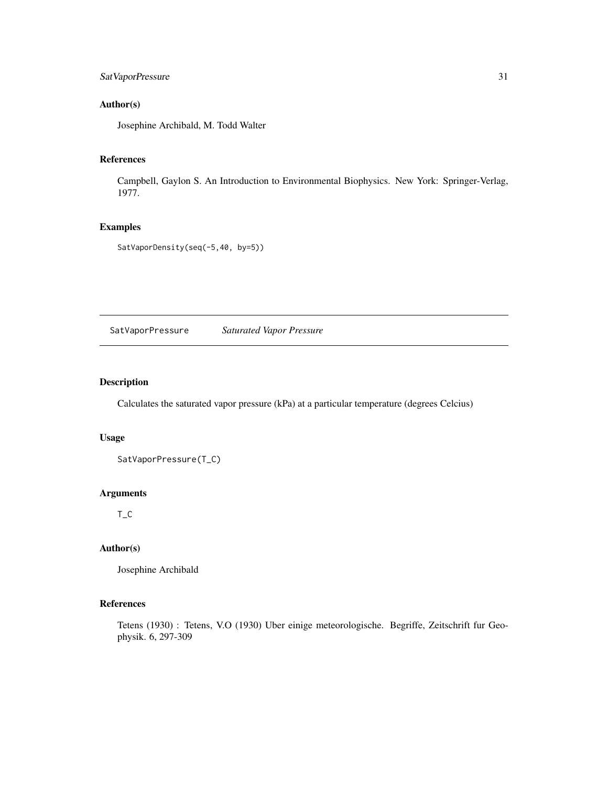# <span id="page-30-0"></span>SatVaporPressure 31

# Author(s)

Josephine Archibald, M. Todd Walter

# References

Campbell, Gaylon S. An Introduction to Environmental Biophysics. New York: Springer-Verlag, 1977.

# Examples

SatVaporDensity(seq(-5,40, by=5))

SatVaporPressure *Saturated Vapor Pressure*

# Description

Calculates the saturated vapor pressure (kPa) at a particular temperature (degrees Celcius)

# Usage

SatVaporPressure(T\_C)

### Arguments

T\_C

# Author(s)

Josephine Archibald

### References

Tetens (1930) : Tetens, V.O (1930) Uber einige meteorologische. Begriffe, Zeitschrift fur Geophysik. 6, 297-309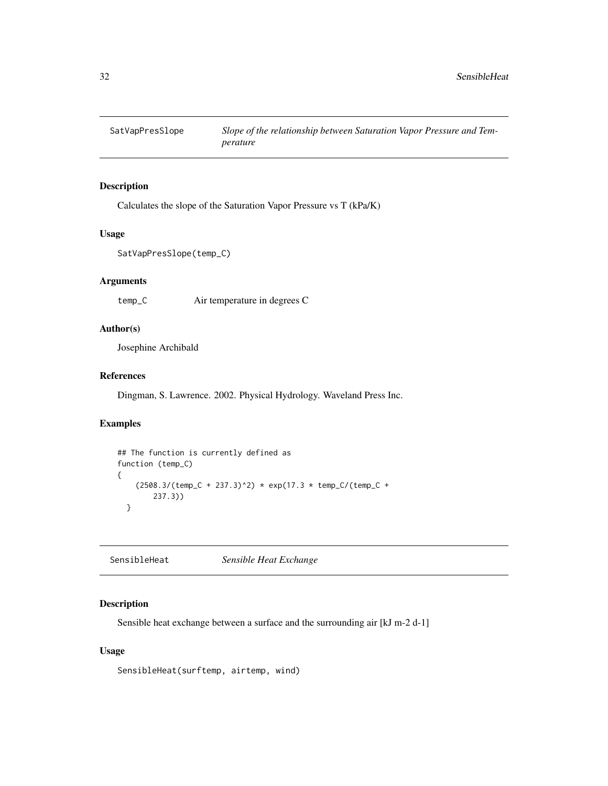<span id="page-31-0"></span>

# Description

Calculates the slope of the Saturation Vapor Pressure vs T (kPa/K)

#### Usage

```
SatVapPresSlope(temp_C)
```
# Arguments

temp\_C Air temperature in degrees C

# Author(s)

Josephine Archibald

# References

Dingman, S. Lawrence. 2002. Physical Hydrology. Waveland Press Inc.

# Examples

```
## The function is currently defined as
function (temp_C)
{
    (2508.3/(temp_C + 237.3)^2) * exp(17.3 * temp_C/(temp_C +237.3))
 }
```
SensibleHeat *Sensible Heat Exchange*

### Description

Sensible heat exchange between a surface and the surrounding air [kJ m-2 d-1]

# Usage

SensibleHeat(surftemp, airtemp, wind)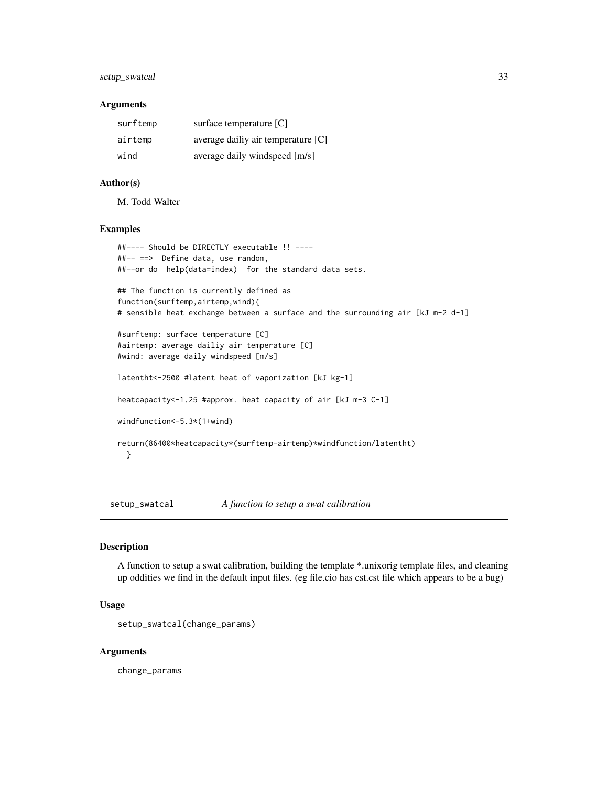# <span id="page-32-0"></span>setup\_swatcal 33

#### **Arguments**

| surftemp | surface temperature [C]            |
|----------|------------------------------------|
| airtemp  | average dailiy air temperature [C] |
| wind     | average daily windspeed [m/s]      |

#### Author(s)

M. Todd Walter

#### Examples

```
##---- Should be DIRECTLY executable !! ----
##-- ==> Define data, use random,
##--or do help(data=index) for the standard data sets.
## The function is currently defined as
function(surftemp,airtemp,wind){
# sensible heat exchange between a surface and the surrounding air [kJ m-2 d-1]
#surftemp: surface temperature [C]
#airtemp: average dailiy air temperature [C]
#wind: average daily windspeed [m/s]
latentht<-2500 #latent heat of vaporization [kJ kg-1]
heatcapacity<-1.25 #approx. heat capacity of air [kJ m-3 C-1]
windfunction<-5.3*(1+wind)
return(86400*heatcapacity*(surftemp-airtemp)*windfunction/latentht)
 }
```
setup\_swatcal *A function to setup a swat calibration*

#### Description

A function to setup a swat calibration, building the template \*.unixorig template files, and cleaning up oddities we find in the default input files. (eg file.cio has cst.cst file which appears to be a bug)

#### Usage

setup\_swatcal(change\_params)

#### Arguments

change\_params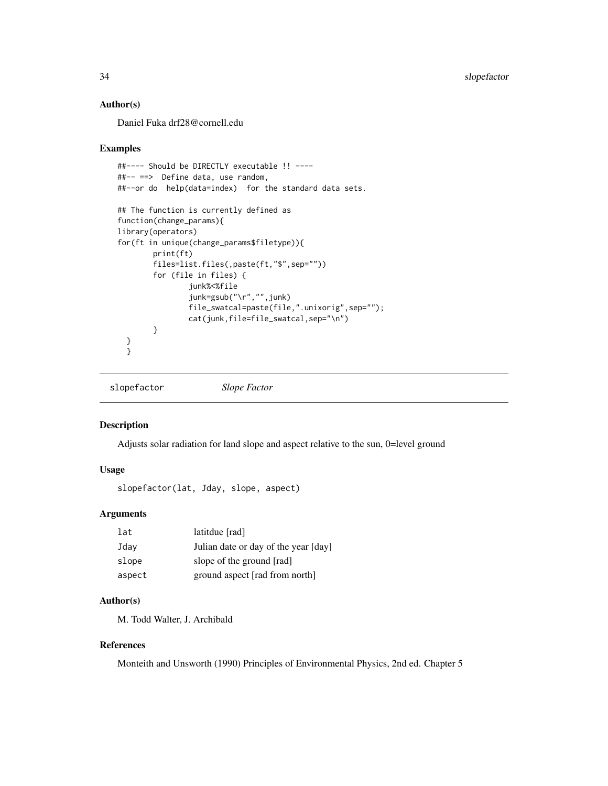# Author(s)

Daniel Fuka drf28@cornell.edu

#### Examples

```
##---- Should be DIRECTLY executable !! ----
##-- ==> Define data, use random,
##--or do help(data=index) for the standard data sets.
## The function is currently defined as
function(change_params){
library(operators)
for(ft in unique(change_params$filetype)){
       print(ft)
        files=list.files(,paste(ft,"$",sep=""))
        for (file in files) {
                junk%<%file
                junk=gsub("\r","",junk)
                file_swatcal=paste(file,".unixorig",sep="");
                cat(junk,file=file_swatcal,sep="\n")
        }
  }
  }
```
slopefactor *Slope Factor*

#### Description

Adjusts solar radiation for land slope and aspect relative to the sun, 0=level ground

# Usage

```
slopefactor(lat, Jday, slope, aspect)
```
# Arguments

| lat    | latitdue [rad]                       |
|--------|--------------------------------------|
| Jday   | Julian date or day of the year [day] |
| slope  | slope of the ground [rad]            |
| aspect | ground aspect [rad from north]       |

# Author(s)

M. Todd Walter, J. Archibald

# References

Monteith and Unsworth (1990) Principles of Environmental Physics, 2nd ed. Chapter 5

<span id="page-33-0"></span>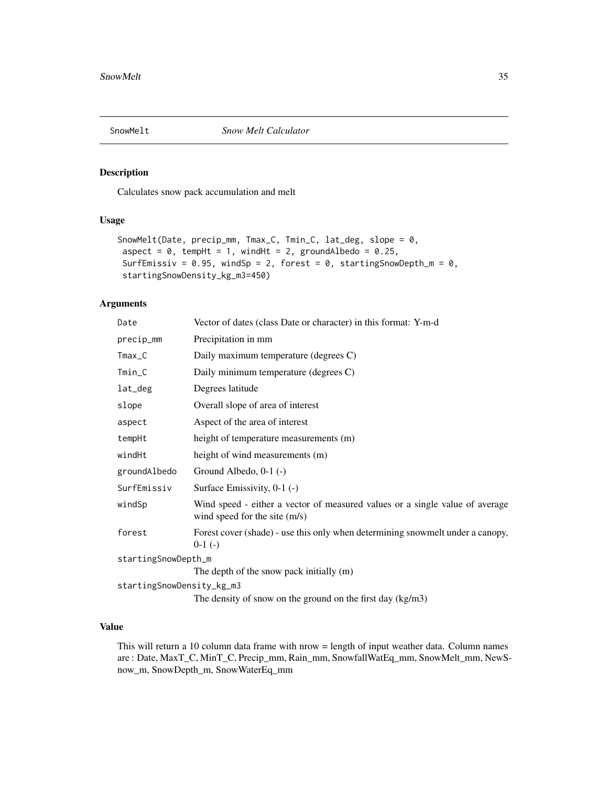<span id="page-34-0"></span>

#### Description

Calculates snow pack accumulation and melt

# Usage

```
SnowMelt(Date, precip_mm, Tmax_C, Tmin_C, lat_deg, slope = 0,
aspect = 0, tempHt = 1, windHt = 2, groundAlbedo = 0.25,
SurfEmissiv = 0.95, windSp = 2, forest = 0, startingSnowDepth_m = 0,
startingSnowDensity_kg_m3=450)
```
#### Arguments

| Date                      | Vector of dates (class Date or character) in this format: Y-m-d                                               |
|---------------------------|---------------------------------------------------------------------------------------------------------------|
| precip_mm                 | Precipitation in mm                                                                                           |
| $Tmax_C$                  | Daily maximum temperature (degrees C)                                                                         |
| $Tmin_C$                  | Daily minimum temperature (degrees C)                                                                         |
| lat_deg                   | Degrees latitude                                                                                              |
| slope                     | Overall slope of area of interest                                                                             |
| aspect                    | Aspect of the area of interest                                                                                |
| tempHt                    | height of temperature measurements (m)                                                                        |
| windHt                    | height of wind measurements (m)                                                                               |
| groundAlbedo              | Ground Albedo, 0-1 (-)                                                                                        |
| SurfEmissiv               | Surface Emissivity, 0-1 (-)                                                                                   |
| windSp                    | Wind speed - either a vector of measured values or a single value of average<br>wind speed for the site (m/s) |
| forest                    | Forest cover (shade) - use this only when determining snowmelt under a canopy,<br>$0-1$ (-)                   |
| startingSnowDepth_m       |                                                                                                               |
|                           | The depth of the snow pack initially (m)                                                                      |
| startingSnowDensity_kg_m3 |                                                                                                               |
|                           | The density of snow on the ground on the first day $(kg/m3)$                                                  |

# Value

This will return a 10 column data frame with nrow = length of input weather data. Column names are : Date, MaxT\_C, MinT\_C, Precip\_mm, Rain\_mm, SnowfallWatEq\_mm, SnowMelt\_mm, NewSnow\_m, SnowDepth\_m, SnowWaterEq\_mm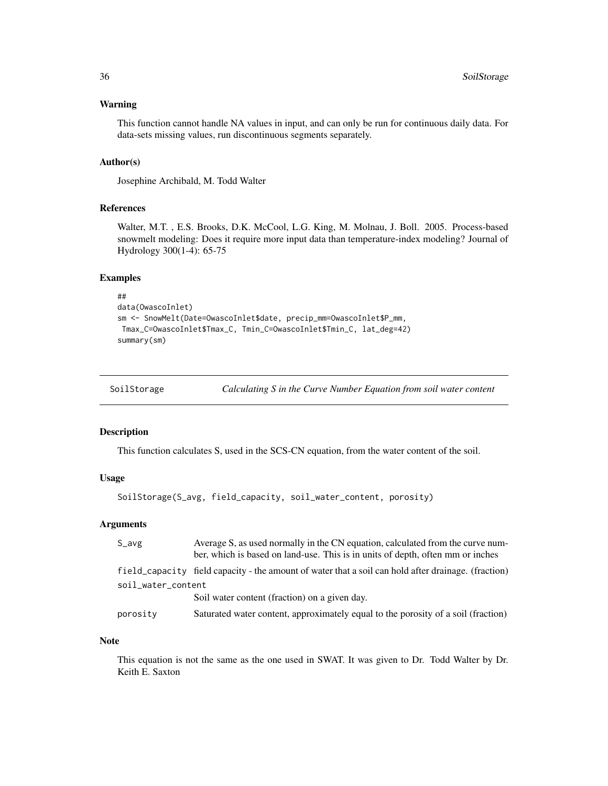#### <span id="page-35-0"></span>Warning

This function cannot handle NA values in input, and can only be run for continuous daily data. For data-sets missing values, run discontinuous segments separately.

#### Author(s)

Josephine Archibald, M. Todd Walter

# References

Walter, M.T. , E.S. Brooks, D.K. McCool, L.G. King, M. Molnau, J. Boll. 2005. Process-based snowmelt modeling: Does it require more input data than temperature-index modeling? Journal of Hydrology 300(1-4): 65-75

# Examples

```
##
data(OwascoInlet)
sm <- SnowMelt(Date=OwascoInlet$date, precip_mm=OwascoInlet$P_mm,
Tmax_C=OwascoInlet$Tmax_C, Tmin_C=OwascoInlet$Tmin_C, lat_deg=42)
summary(sm)
```

| SoilStorage | Calculating S in the Curve Number Equation from soil water content |  |
|-------------|--------------------------------------------------------------------|--|
|             |                                                                    |  |

#### Description

This function calculates S, used in the SCS-CN equation, from the water content of the soil.

#### Usage

```
SoilStorage(S_avg, field_capacity, soil_water_content, porosity)
```
# Arguments

| $S_$ avg           | Average S, as used normally in the CN equation, calculated from the curve num-<br>ber, which is based on land-use. This is in units of depth, often mm or inches |
|--------------------|------------------------------------------------------------------------------------------------------------------------------------------------------------------|
|                    | field_capacity field capacity - the amount of water that a soil can hold after drainage. (fraction)                                                              |
| soil_water_content |                                                                                                                                                                  |
|                    | Soil water content (fraction) on a given day.                                                                                                                    |
| porosity           | Saturated water content, approximately equal to the porosity of a soil (fraction)                                                                                |
|                    |                                                                                                                                                                  |

#### Note

This equation is not the same as the one used in SWAT. It was given to Dr. Todd Walter by Dr. Keith E. Saxton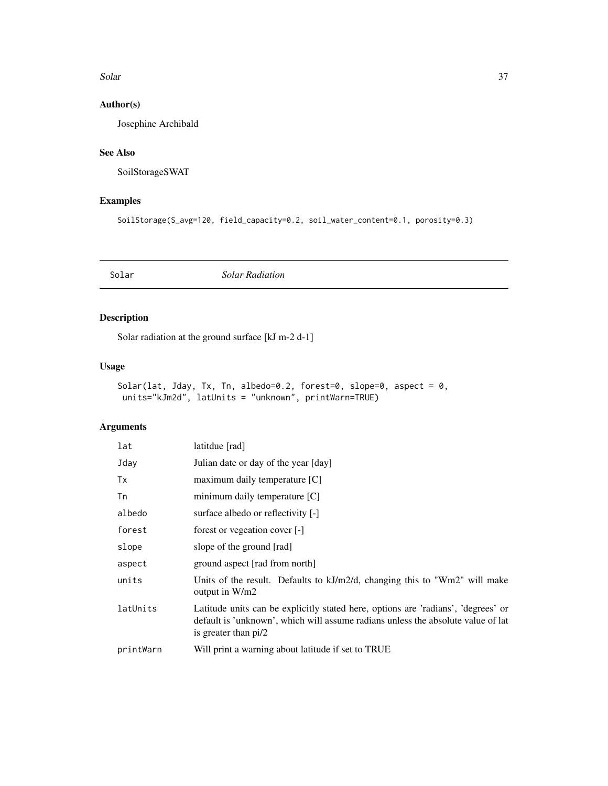#### <span id="page-36-0"></span>Solar 37

# Author(s)

Josephine Archibald

# See Also

SoilStorageSWAT

# Examples

SoilStorage(S\_avg=120, field\_capacity=0.2, soil\_water\_content=0.1, porosity=0.3)

Solar *Solar Radiation*

# Description

Solar radiation at the ground surface [kJ m-2 d-1]

# Usage

```
Solar(lat, Jday, Tx, Tn, albedo=0.2, forest=0, slope=0, aspect = 0,
units="kJm2d", latUnits = "unknown", printWarn=TRUE)
```
# Arguments

| lat       | latitdue [rad]                                                                                                                                                                                |
|-----------|-----------------------------------------------------------------------------------------------------------------------------------------------------------------------------------------------|
| Jday      | Julian date or day of the year [day]                                                                                                                                                          |
| Tx        | maximum daily temperature [C]                                                                                                                                                                 |
| Tn        | minimum daily temperature [C]                                                                                                                                                                 |
| albedo    | surface albedo or reflectivity [-]                                                                                                                                                            |
| forest    | forest or vegeation cover [-]                                                                                                                                                                 |
| slope     | slope of the ground [rad]                                                                                                                                                                     |
| aspect    | ground aspect [rad from north]                                                                                                                                                                |
| units     | Units of the result. Defaults to kJ/m2/d, changing this to "Wm2" will make<br>output in W/m2                                                                                                  |
| latUnits  | Latitude units can be explicitly stated here, options are 'radians', 'degrees' or<br>default is 'unknown', which will assume radians unless the absolute value of lat<br>is greater than pi/2 |
| printWarn | Will print a warning about latitude if set to TRUE                                                                                                                                            |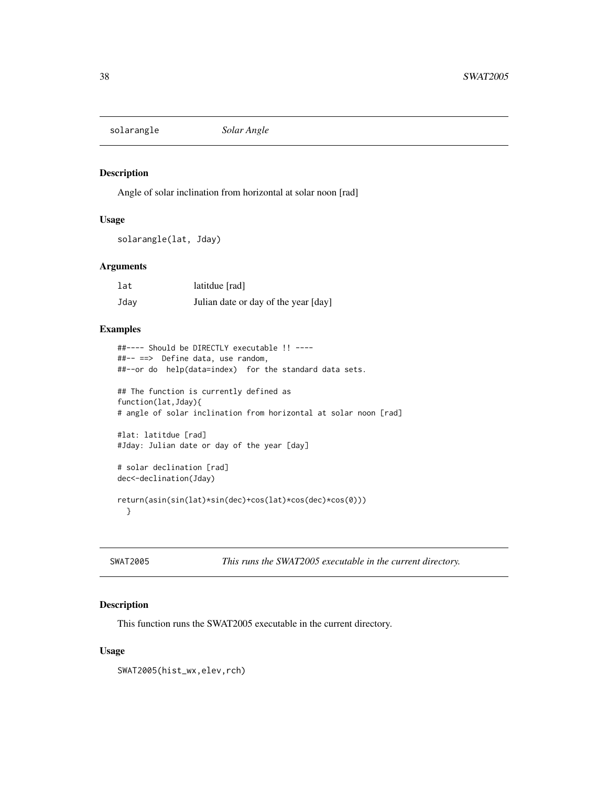<span id="page-37-0"></span>solarangle *Solar Angle*

#### Description

Angle of solar inclination from horizontal at solar noon [rad]

#### Usage

solarangle(lat, Jday)

#### Arguments

| lat  | latitdue [rad]                       |
|------|--------------------------------------|
| Jday | Julian date or day of the year [day] |

#### Examples

```
##---- Should be DIRECTLY executable !! ----
##-- ==> Define data, use random,
##--or do help(data=index) for the standard data sets.
## The function is currently defined as
function(lat,Jday){
# angle of solar inclination from horizontal at solar noon [rad]
#lat: latitdue [rad]
#Jday: Julian date or day of the year [day]
# solar declination [rad]
dec<-declination(Jday)
return(asin(sin(lat)*sin(dec)+cos(lat)*cos(dec)*cos(0)))
 }
```
SWAT2005 *This runs the SWAT2005 executable in the current directory.*

# Description

This function runs the SWAT2005 executable in the current directory.

# Usage

SWAT2005(hist\_wx,elev,rch)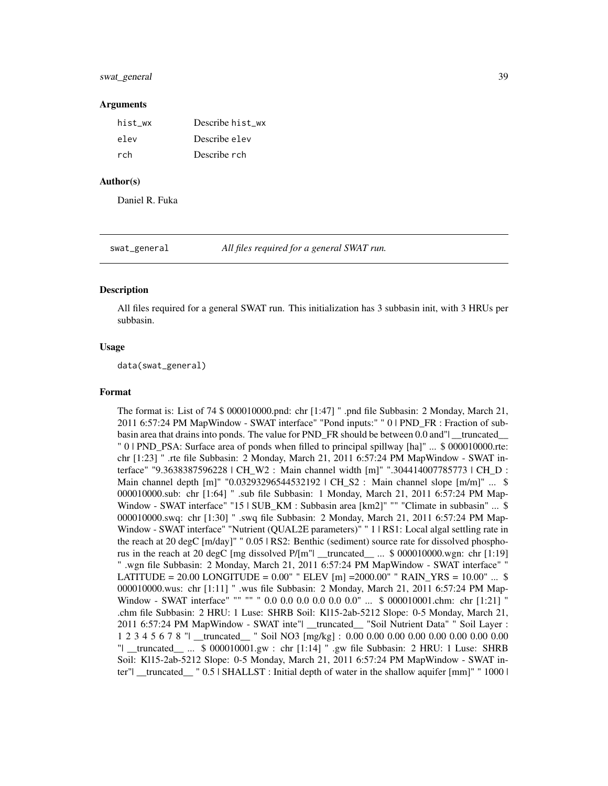#### <span id="page-38-0"></span>swat\_general 39

#### Arguments

| hist_wx | Describe hist wx |
|---------|------------------|
| elev    | Describe el ev   |
| rch     | Describe rch     |

#### Author(s)

Daniel R. Fuka

swat\_general *All files required for a general SWAT run.*

#### Description

All files required for a general SWAT run. This initialization has 3 subbasin init, with 3 HRUs per subbasin.

#### Usage

data(swat\_general)

#### Format

The format is: List of 74 \$ 000010000.pnd: chr [1:47] " .pnd file Subbasin: 2 Monday, March 21, 2011 6:57:24 PM MapWindow - SWAT interface" "Pond inputs:" " 0 | PND\_FR : Fraction of subbasin area that drains into ponds. The value for PND FR should be between 0.0 and" truncated " 0 | PND\_PSA: Surface area of ponds when filled to principal spillway [ha]" ... \$ 000010000.rte: chr [1:23] " .rte file Subbasin: 2 Monday, March 21, 2011 6:57:24 PM MapWindow - SWAT interface" "9.3638387596228 | CH\_W2 : Main channel width [m]" ".304414007785773 | CH\_D : Main channel depth [m]" "0.03293296544532192 | CH\_S2 : Main channel slope [m/m]" ... \$ 000010000.sub: chr [1:64] " .sub file Subbasin: 1 Monday, March 21, 2011 6:57:24 PM Map-Window - SWAT interface" "15 | SUB\_KM : Subbasin area [km2]" "" "Climate in subbasin" ... \$ 000010000.swq: chr [1:30] " .swq file Subbasin: 2 Monday, March 21, 2011 6:57:24 PM Map-Window - SWAT interface" "Nutrient (QUAL2E parameters)" " 1 | RS1: Local algal settling rate in the reach at 20 degC [m/day]" " 0.05 | RS2: Benthic (sediment) source rate for dissolved phosphorus in the reach at 20 degC [mg dissolved P/[m"| \_\_truncated\_\_ ... \$ 000010000.wgn: chr [1:19] " .wgn file Subbasin: 2 Monday, March 21, 2011 6:57:24 PM MapWindow - SWAT interface" " LATITUDE = 20.00 LONGITUDE =  $0.00"$  " ELEV [m] =  $2000.00"$  " RAIN\_YRS =  $10.00"$  ... \$ 000010000.wus: chr [1:11] " .wus file Subbasin: 2 Monday, March 21, 2011 6:57:24 PM Map-Window - SWAT interface" "" "" " 0.0 0.0 0.0 0.0 0.0 0.0" ... \$ 000010001.chm: chr [1:21] " .chm file Subbasin: 2 HRU: 1 Luse: SHRB Soil: Kl15-2ab-5212 Slope: 0-5 Monday, March 21, 2011 6:57:24 PM MapWindow - SWAT inte"| \_\_truncated\_\_ "Soil Nutrient Data" " Soil Layer : 1 2 3 4 5 6 7 8 "| \_\_truncated\_\_ " Soil NO3 [mg/kg] : 0.00 0.00 0.00 0.00 0.00 0.00 0.00 0.00 "| \_\_truncated\_\_ ... \$ 000010001.gw : chr [1:14] " .gw file Subbasin: 2 HRU: 1 Luse: SHRB Soil: Kl15-2ab-5212 Slope: 0-5 Monday, March 21, 2011 6:57:24 PM MapWindow - SWAT inter"| \_\_truncated\_\_ " 0.5 | SHALLST : Initial depth of water in the shallow aquifer [mm]" " 1000 |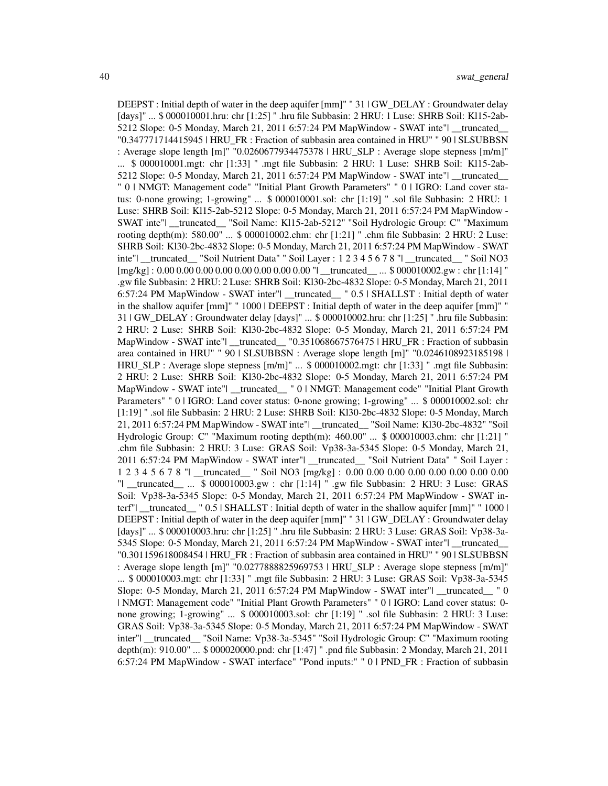DEEPST : Initial depth of water in the deep aquifer [mm]" " 31 | GW\_DELAY : Groundwater delay [days]" ... \$ 000010001.hru: chr [1:25] " .hru file Subbasin: 2 HRU: 1 Luse: SHRB Soil: Kl15-2ab-5212 Slope: 0-5 Monday, March 21, 2011 6:57:24 PM MapWindow - SWAT inte"| \_\_truncated\_\_ "0.347771714415945 | HRU\_FR : Fraction of subbasin area contained in HRU" " 90 | SLSUBBSN : Average slope length [m]" "0.0260677934475378 | HRU\_SLP : Average slope stepness [m/m]" ... \$ 000010001.mgt: chr [1:33] " .mgt file Subbasin: 2 HRU: 1 Luse: SHRB Soil: Kl15-2ab-5212 Slope: 0-5 Monday, March 21, 2011 6:57:24 PM MapWindow - SWAT inte"| \_\_truncated\_\_ " 0 | NMGT: Management code" "Initial Plant Growth Parameters" " 0 | IGRO: Land cover status: 0-none growing; 1-growing" ... \$ 000010001.sol: chr [1:19] " .sol file Subbasin: 2 HRU: 1 Luse: SHRB Soil: Kl15-2ab-5212 Slope: 0-5 Monday, March 21, 2011 6:57:24 PM MapWindow - SWAT inte"| \_\_truncated\_\_ "Soil Name: Kl15-2ab-5212" "Soil Hydrologic Group: C" "Maximum rooting depth(m): 580.00" ... \$ 000010002.chm: chr [1:21] " .chm file Subbasin: 2 HRU: 2 Luse: SHRB Soil: Kl30-2bc-4832 Slope: 0-5 Monday, March 21, 2011 6:57:24 PM MapWindow - SWAT inte"| \_\_truncated\_\_ "Soil Nutrient Data" " Soil Layer : 1 2 3 4 5 6 7 8 "| \_\_truncated\_\_ " Soil NO3 [mg/kg] : 0.00 0.00 0.00 0.00 0.00 0.00 0.00 0.00 "| \_\_truncated\_\_ ... \$ 000010002.gw : chr [1:14] " .gw file Subbasin: 2 HRU: 2 Luse: SHRB Soil: Kl30-2bc-4832 Slope: 0-5 Monday, March 21, 2011 6:57:24 PM MapWindow - SWAT inter"| \_\_truncated\_\_ " 0.5 | SHALLST : Initial depth of water in the shallow aquifer [mm]" " 1000 | DEEPST : Initial depth of water in the deep aquifer [mm]" " 31 | GW\_DELAY : Groundwater delay [days]" ... \$ 000010002.hru: chr [1:25] " .hru file Subbasin: 2 HRU: 2 Luse: SHRB Soil: Kl30-2bc-4832 Slope: 0-5 Monday, March 21, 2011 6:57:24 PM MapWindow - SWAT inte"| \_\_truncated\_\_ "0.351068667576475 | HRU\_FR : Fraction of subbasin area contained in HRU" " 90 | SLSUBBSN : Average slope length [m]" "0.0246108923185198 | HRU\_SLP : Average slope stepness [m/m]" ... \$ 000010002.mgt: chr [1:33] " .mgt file Subbasin: 2 HRU: 2 Luse: SHRB Soil: Kl30-2bc-4832 Slope: 0-5 Monday, March 21, 2011 6:57:24 PM MapWindow - SWAT inte"| \_\_truncated\_\_ " 0 | NMGT: Management code" "Initial Plant Growth Parameters" " 0 | IGRO: Land cover status: 0-none growing; 1-growing" ... \$ 000010002.sol: chr [1:19] " .sol file Subbasin: 2 HRU: 2 Luse: SHRB Soil: Kl30-2bc-4832 Slope: 0-5 Monday, March 21, 2011 6:57:24 PM MapWindow - SWAT inte"| \_\_truncated\_\_ "Soil Name: Kl30-2bc-4832" "Soil Hydrologic Group: C" "Maximum rooting depth(m): 460.00" ... \$ 000010003.chm: chr [1:21] " .chm file Subbasin: 2 HRU: 3 Luse: GRAS Soil: Vp38-3a-5345 Slope: 0-5 Monday, March 21, 2011 6:57:24 PM MapWindow - SWAT inter"| \_\_truncated\_\_ "Soil Nutrient Data" " Soil Layer : 1 2 3 4 5 6 7 8 "| \_\_truncated\_\_ " Soil NO3 [mg/kg] : 0.00 0.00 0.00 0.00 0.00 0.00 0.00 0.00 "| \_\_truncated\_\_ ... \$ 000010003.gw : chr [1:14] " .gw file Subbasin: 2 HRU: 3 Luse: GRAS Soil: Vp38-3a-5345 Slope: 0-5 Monday, March 21, 2011 6:57:24 PM MapWindow - SWAT interf"| \_\_truncated\_\_ " 0.5 | SHALLST : Initial depth of water in the shallow aquifer [mm]" " 1000 | DEEPST : Initial depth of water in the deep aquifer [mm]" " 31 | GW\_DELAY : Groundwater delay [days]" ... \$ 000010003.hru: chr [1:25] " .hru file Subbasin: 2 HRU: 3 Luse: GRAS Soil: Vp38-3a-5345 Slope: 0-5 Monday, March 21, 2011 6:57:24 PM MapWindow - SWAT inter"| \_\_truncated\_\_ "0.301159618008454 | HRU\_FR : Fraction of subbasin area contained in HRU" " 90 | SLSUBBSN : Average slope length [m]" "0.0277888825969753 | HRU\_SLP : Average slope stepness [m/m]" ... \$ 000010003.mgt: chr [1:33] " .mgt file Subbasin: 2 HRU: 3 Luse: GRAS Soil: Vp38-3a-5345 Slope: 0-5 Monday, March 21, 2011 6:57:24 PM MapWindow - SWAT inter"| \_\_truncated\_\_ " 0 | NMGT: Management code" "Initial Plant Growth Parameters" " 0 | IGRO: Land cover status: 0 none growing; 1-growing" ... \$ 000010003.sol: chr [1:19] " .sol file Subbasin: 2 HRU: 3 Luse: GRAS Soil: Vp38-3a-5345 Slope: 0-5 Monday, March 21, 2011 6:57:24 PM MapWindow - SWAT inter"| \_\_truncated\_\_ "Soil Name: Vp38-3a-5345" "Soil Hydrologic Group: C" "Maximum rooting depth(m): 910.00" ... \$ 000020000.pnd: chr [1:47] " .pnd file Subbasin: 2 Monday, March 21, 2011 6:57:24 PM MapWindow - SWAT interface" "Pond inputs:" " 0 | PND\_FR : Fraction of subbasin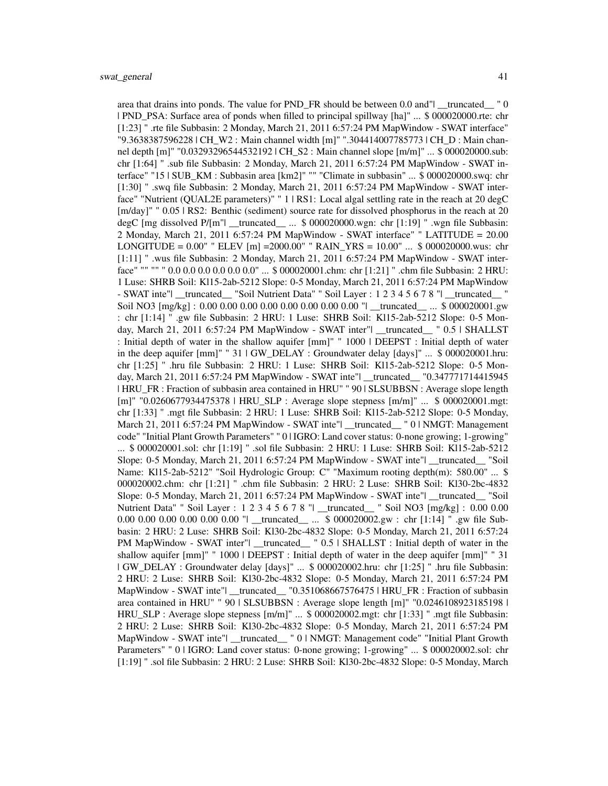area that drains into ponds. The value for PND\_FR should be between 0.0 and"| \_\_truncated\_\_ " 0 | PND\_PSA: Surface area of ponds when filled to principal spillway [ha]" ... \$ 000020000.rte: chr [1:23] " .rte file Subbasin: 2 Monday, March 21, 2011 6:57:24 PM MapWindow - SWAT interface" "9.3638387596228 | CH\_W2 : Main channel width [m]" ".304414007785773 | CH\_D : Main channel depth [m]" "0.03293296544532192 | CH\_S2 : Main channel slope [m/m]" ... \$ 000020000.sub: chr [1:64] " .sub file Subbasin: 2 Monday, March 21, 2011 6:57:24 PM MapWindow - SWAT interface" "15 | SUB\_KM : Subbasin area [km2]" "" "Climate in subbasin" ... \$ 000020000.swq: chr [1:30] " .swq file Subbasin: 2 Monday, March 21, 2011 6:57:24 PM MapWindow - SWAT interface" "Nutrient (QUAL2E parameters)" " 1 | RS1: Local algal settling rate in the reach at 20 degC [m/day]" "  $0.05$  | RS2: Benthic (sediment) source rate for dissolved phosphorus in the reach at 20 degC [mg dissolved P/[m"| \_\_truncated\_ ... \$ 000020000.wgn: chr [1:19] " .wgn file Subbasin: 2 Monday, March 21, 2011 6:57:24 PM MapWindow - SWAT interface" " LATITUDE = 20.00 LONGITUDE =  $0.00''$  " ELEV [m] = 2000.00" " RAIN\_YRS =  $10.00''$  ... \$ 000020000.wus: chr [1:11] " .wus file Subbasin: 2 Monday, March 21, 2011 6:57:24 PM MapWindow - SWAT interface" "" "" " 0.0 0.0 0.0 0.0 0.0 0.0" ... \$ 000020001.chm: chr [1:21] " .chm file Subbasin: 2 HRU: 1 Luse: SHRB Soil: Kl15-2ab-5212 Slope: 0-5 Monday, March 21, 2011 6:57:24 PM MapWindow - SWAT inte"| \_\_truncated\_\_ "Soil Nutrient Data" " Soil Layer : 1 2 3 4 5 6 7 8 "| \_\_truncated\_\_ Soil NO3 [mg/kg] : 0.00 0.00 0.00 0.00 0.00 0.00 0.00 0.00 "| \_\_truncated\_\_ ... \$ 000020001.gw : chr [1:14] " .gw file Subbasin: 2 HRU: 1 Luse: SHRB Soil: Kl15-2ab-5212 Slope: 0-5 Monday, March 21, 2011 6:57:24 PM MapWindow - SWAT inter"| truncated  $\frac{1}{2}$  0.5 | SHALLST : Initial depth of water in the shallow aquifer [mm]" " 1000 | DEEPST : Initial depth of water in the deep aquifer  ${\text{[mm]}}$ " " 31  $\text{|GW}\$  DELAY : Groundwater delay  ${\text{[days]}}$ " ... \$ 000020001.hru: chr [1:25] " .hru file Subbasin: 2 HRU: 1 Luse: SHRB Soil: Kl15-2ab-5212 Slope: 0-5 Monday, March 21, 2011 6:57:24 PM MapWindow - SWAT inte"| \_\_truncated\_\_ "0.347771714415945 | HRU\_FR : Fraction of subbasin area contained in HRU" " 90 | SLSUBBSN : Average slope length [m]" "0.0260677934475378 | HRU\_SLP : Average slope stepness [m/m]" ... \$ 000020001.mgt: chr [1:33] " .mgt file Subbasin: 2 HRU: 1 Luse: SHRB Soil: Kl15-2ab-5212 Slope: 0-5 Monday, March 21, 2011 6:57:24 PM MapWindow - SWAT inte"| \_truncated\_ " 0 | NMGT: Management code" "Initial Plant Growth Parameters" " 0 | IGRO: Land cover status: 0-none growing; 1-growing" ... \$ 000020001.sol: chr [1:19] " .sol file Subbasin: 2 HRU: 1 Luse: SHRB Soil: Kl15-2ab-5212 Slope: 0-5 Monday, March 21, 2011 6:57:24 PM MapWindow - SWAT inte"| \_\_truncated\_\_ "Soil Name: Kl15-2ab-5212" "Soil Hydrologic Group: C" "Maximum rooting depth(m): 580.00" ... \$ 000020002.chm: chr [1:21] " .chm file Subbasin: 2 HRU: 2 Luse: SHRB Soil: Kl30-2bc-4832 Slope: 0-5 Monday, March 21, 2011 6:57:24 PM MapWindow - SWAT inte"| \_\_truncated\_\_ "Soil Nutrient Data" " Soil Layer : 1 2 3 4 5 6 7 8 "| \_\_truncated\_\_ " Soil NO3 [mg/kg] : 0.00 0.00 0.00 0.00 0.00 0.00 0.00 0.00 "| \_\_truncated\_\_ ... \$ 000020002.gw : chr [1:14] " .gw file Subbasin: 2 HRU: 2 Luse: SHRB Soil: Kl30-2bc-4832 Slope: 0-5 Monday, March 21, 2011 6:57:24 PM MapWindow - SWAT inter"| \_\_truncated\_ " 0.5 | SHALLST : Initial depth of water in the shallow aquifer [mm]" " 1000 | DEEPST : Initial depth of water in the deep aquifer [mm]" " 31 | GW\_DELAY : Groundwater delay [days]" ... \$ 000020002.hru: chr [1:25] " .hru file Subbasin: 2 HRU: 2 Luse: SHRB Soil: Kl30-2bc-4832 Slope: 0-5 Monday, March 21, 2011 6:57:24 PM MapWindow - SWAT inte"| \_\_truncated\_\_ "0.351068667576475 | HRU\_FR : Fraction of subbasin area contained in HRU" " 90 | SLSUBBSN : Average slope length [m]" "0.0246108923185198 | HRU\_SLP : Average slope stepness [m/m]" ... \$ 000020002.mgt: chr [1:33] " .mgt file Subbasin: 2 HRU: 2 Luse: SHRB Soil: Kl30-2bc-4832 Slope: 0-5 Monday, March 21, 2011 6:57:24 PM MapWindow - SWAT inte"| \_truncated\_ " 0 | NMGT: Management code" "Initial Plant Growth Parameters" " 0 | IGRO: Land cover status: 0-none growing; 1-growing" ... \$ 000020002.sol: chr [1:19] " .sol file Subbasin: 2 HRU: 2 Luse: SHRB Soil: Kl30-2bc-4832 Slope: 0-5 Monday, March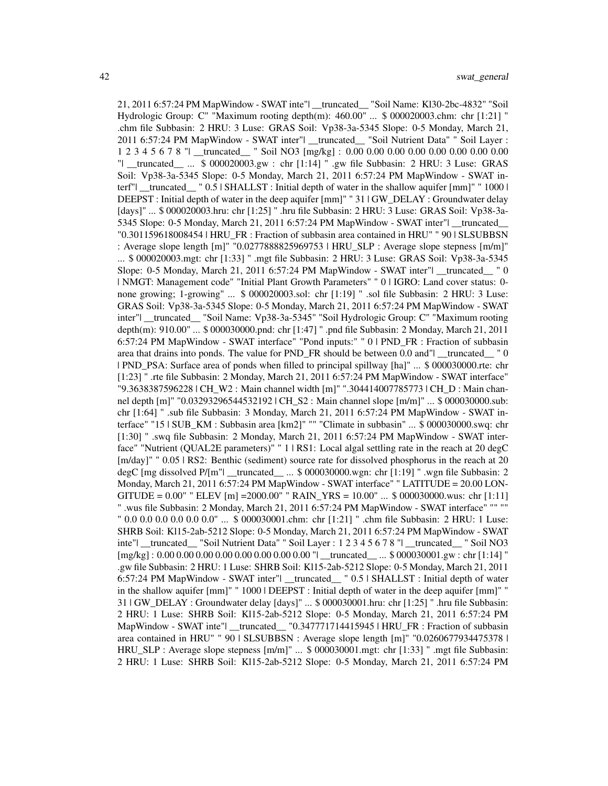21, 2011 6:57:24 PM MapWindow - SWAT inte"| \_\_truncated\_\_ "Soil Name: Kl30-2bc-4832" "Soil Hydrologic Group: C" "Maximum rooting depth(m): 460.00" ... \$ 000020003.chm: chr [1:21] " .chm file Subbasin: 2 HRU: 3 Luse: GRAS Soil: Vp38-3a-5345 Slope: 0-5 Monday, March 21, 2011 6:57:24 PM MapWindow - SWAT inter"| \_\_truncated\_\_ "Soil Nutrient Data" " Soil Layer : 1 2 3 4 5 6 7 8 "| \_\_truncated\_\_ " Soil NO3 [mg/kg] : 0.00 0.00 0.00 0.00 0.00 0.00 0.00 0.00 "| \_\_truncated\_\_ ... \$ 000020003.gw : chr [1:14] " .gw file Subbasin: 2 HRU: 3 Luse: GRAS Soil: Vp38-3a-5345 Slope: 0-5 Monday, March 21, 2011 6:57:24 PM MapWindow - SWAT interf" |  $_t$ truncated  $\frac{1}{2}$  " 0.5 | SHALLST : Initial depth of water in the shallow aquifer  $\lceil \text{mm} \rceil$ "  $\frac{1000 \rceil}{2}$ DEEPST : Initial depth of water in the deep aquifer [mm]" " 31 | GW\_DELAY : Groundwater delay [days]" ... \$ 000020003.hru: chr [1:25] " .hru file Subbasin: 2 HRU: 3 Luse: GRAS Soil: Vp38-3a-5345 Slope: 0-5 Monday, March 21, 2011 6:57:24 PM MapWindow - SWAT inter"| \_\_truncated\_ "0.301159618008454 | HRU\_FR : Fraction of subbasin area contained in HRU" " 90 | SLSUBBSN : Average slope length [m]" "0.0277888825969753 | HRU\_SLP : Average slope stepness [m/m]" ... \$ 000020003.mgt: chr [1:33] " .mgt file Subbasin: 2 HRU: 3 Luse: GRAS Soil: Vp38-3a-5345 Slope: 0-5 Monday, March 21, 2011 6:57:24 PM MapWindow - SWAT inter"| \_\_truncated\_\_ " 0 | NMGT: Management code" "Initial Plant Growth Parameters" " 0 | IGRO: Land cover status: 0 none growing; 1-growing" ... \$ 000020003.sol: chr [1:19] " .sol file Subbasin: 2 HRU: 3 Luse: GRAS Soil: Vp38-3a-5345 Slope: 0-5 Monday, March 21, 2011 6:57:24 PM MapWindow - SWAT inter"| \_\_truncated\_\_ "Soil Name: Vp38-3a-5345" "Soil Hydrologic Group: C" "Maximum rooting depth(m): 910.00" ... \$ 000030000.pnd: chr [1:47] " .pnd file Subbasin: 2 Monday, March 21, 2011 6:57:24 PM MapWindow - SWAT interface" "Pond inputs:" " 0 | PND\_FR : Fraction of subbasin area that drains into ponds. The value for PND FR should be between 0.0 and" $\mid$  truncated  $\mid$  0 | PND\_PSA: Surface area of ponds when filled to principal spillway [ha]" ... \$ 000030000.rte: chr [1:23] " .rte file Subbasin: 2 Monday, March 21, 2011 6:57:24 PM MapWindow - SWAT interface" "9.3638387596228 | CH\_W2 : Main channel width [m]" ".304414007785773 | CH\_D : Main channel depth [m]" "0.03293296544532192 | CH S2 : Main channel slope [m/m]" ... \$ 000030000.sub: chr [1:64] " .sub file Subbasin: 3 Monday, March 21, 2011 6:57:24 PM MapWindow - SWAT interface" "15 | SUB\_KM : Subbasin area [km2]" "" "Climate in subbasin" ... \$ 000030000.swq: chr [1:30] " .swq file Subbasin: 2 Monday, March 21, 2011 6:57:24 PM MapWindow - SWAT interface" "Nutrient (QUAL2E parameters)" " 1 | RS1: Local algal settling rate in the reach at 20 degC [m/day]" "  $0.05$  | RS2: Benthic (sediment) source rate for dissolved phosphorus in the reach at 20 degC [mg dissolved P/[m"| \_\_truncated\_\_ ... \$ 000030000.wgn: chr [1:19] " .wgn file Subbasin: 2 Monday, March 21, 2011 6:57:24 PM MapWindow - SWAT interface" " LATITUDE = 20.00 LON-GITUDE =  $0.00$ " " ELEV [m] =  $2000.00$ " " RAIN\_YRS =  $10.00$ " ... \$ 000030000.wus: chr [1:11] " .wus file Subbasin: 2 Monday, March 21, 2011 6:57:24 PM MapWindow - SWAT interface" "" "" " 0.0 0.0 0.0 0.0 0.0 0.0" ... \$ 000030001.chm: chr [1:21] " .chm file Subbasin: 2 HRU: 1 Luse: SHRB Soil: Kl15-2ab-5212 Slope: 0-5 Monday, March 21, 2011 6:57:24 PM MapWindow - SWAT inte"| \_\_truncated\_\_ "Soil Nutrient Data" " Soil Layer : 1 2 3 4 5 6 7 8 "| \_\_truncated\_\_ " Soil NO3 [mg/kg] : 0.00 0.00 0.00 0.00 0.00 0.00 0.00 0.00 "| \_\_truncated\_\_ ... \$ 000030001.gw : chr [1:14] " .gw file Subbasin: 2 HRU: 1 Luse: SHRB Soil: Kl15-2ab-5212 Slope: 0-5 Monday, March 21, 2011 6:57:24 PM MapWindow - SWAT inter"| \_\_truncated\_\_ " 0.5 | SHALLST : Initial depth of water in the shallow aquifer [mm]" " 1000 | DEEPST : Initial depth of water in the deep aquifer [mm]" " 31 | GW\_DELAY : Groundwater delay [days]" ... \$ 000030001.hru: chr [1:25] " .hru file Subbasin: 2 HRU: 1 Luse: SHRB Soil: Kl15-2ab-5212 Slope: 0-5 Monday, March 21, 2011 6:57:24 PM MapWindow - SWAT inte"| \_\_truncated\_\_ "0.347771714415945 | HRU\_FR : Fraction of subbasin area contained in HRU" " 90 | SLSUBBSN : Average slope length [m]" "0.0260677934475378 | HRU\_SLP : Average slope stepness [m/m]" ... \$ 000030001.mgt: chr [1:33] " .mgt file Subbasin: 2 HRU: 1 Luse: SHRB Soil: Kl15-2ab-5212 Slope: 0-5 Monday, March 21, 2011 6:57:24 PM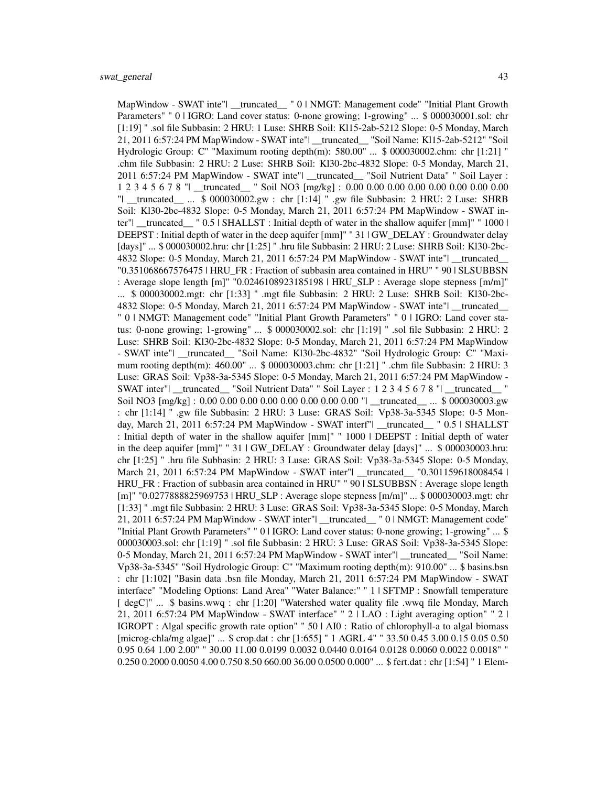MapWindow - SWAT inte"| \_\_truncated\_ " 0 | NMGT: Management code" "Initial Plant Growth Parameters" " 0 | IGRO: Land cover status: 0-none growing; 1-growing" ... \$ 000030001.sol: chr [1:19] " .sol file Subbasin: 2 HRU: 1 Luse: SHRB Soil: Kl15-2ab-5212 Slope: 0-5 Monday, March 21, 2011 6:57:24 PM MapWindow - SWAT inte"| \_\_truncated\_\_ "Soil Name: Kl15-2ab-5212" "Soil Hydrologic Group: C" "Maximum rooting depth(m): 580.00" ... \$ 000030002.chm: chr [1:21] " .chm file Subbasin: 2 HRU: 2 Luse: SHRB Soil: Kl30-2bc-4832 Slope: 0-5 Monday, March 21, 2011 6:57:24 PM MapWindow - SWAT inte"| \_\_truncated\_\_ "Soil Nutrient Data" " Soil Layer : 1 2 3 4 5 6 7 8 "| \_\_truncated\_\_ " Soil NO3 [mg/kg] : 0.00 0.00 0.00 0.00 0.00 0.00 0.00 0.00 "| \_\_truncated\_\_ ... \$ 000030002.gw : chr [1:14] " .gw file Subbasin: 2 HRU: 2 Luse: SHRB Soil: Kl30-2bc-4832 Slope: 0-5 Monday, March 21, 2011 6:57:24 PM MapWindow - SWAT inter"| \_\_truncated\_\_ " 0.5 | SHALLST : Initial depth of water in the shallow aquifer [mm]" " 1000 | DEEPST : Initial depth of water in the deep aquifer [mm]" " 31 | GW\_DELAY : Groundwater delay [days]" ... \$ 000030002.hru: chr [1:25] " .hru file Subbasin: 2 HRU: 2 Luse: SHRB Soil: Kl30-2bc-4832 Slope: 0-5 Monday, March 21, 2011 6:57:24 PM MapWindow - SWAT inte"| \_\_truncated\_\_ "0.351068667576475 | HRU\_FR : Fraction of subbasin area contained in HRU" " 90 | SLSUBBSN : Average slope length [m]" "0.0246108923185198 | HRU\_SLP : Average slope stepness [m/m]" ... \$ 000030002.mgt: chr [1:33] " .mgt file Subbasin: 2 HRU: 2 Luse: SHRB Soil: Kl30-2bc-4832 Slope: 0-5 Monday, March 21, 2011 6:57:24 PM MapWindow - SWAT inte"| \_\_truncated\_\_ " 0 | NMGT: Management code" "Initial Plant Growth Parameters" " 0 | IGRO: Land cover status: 0-none growing; 1-growing" ... \$ 000030002.sol: chr [1:19] " .sol file Subbasin: 2 HRU: 2 Luse: SHRB Soil: Kl30-2bc-4832 Slope: 0-5 Monday, March 21, 2011 6:57:24 PM MapWindow - SWAT inte"| \_\_truncated\_\_ "Soil Name: Kl30-2bc-4832" "Soil Hydrologic Group: C" "Maximum rooting depth(m): 460.00" ... \$ 000030003.chm: chr [1:21] " .chm file Subbasin: 2 HRU: 3 Luse: GRAS Soil: Vp38-3a-5345 Slope: 0-5 Monday, March 21, 2011 6:57:24 PM MapWindow - SWAT inter"| \_\_truncated\_\_ "Soil Nutrient Data" " Soil Layer : 1 2 3 4 5 6 7 8 "| \_\_truncated\_\_ " Soil NO3 [mg/kg] : 0.00 0.00 0.00 0.00 0.00 0.00 0.00 0.00 "| \_\_truncated\_\_ ... \$ 000030003.gw : chr [1:14] " .gw file Subbasin: 2 HRU: 3 Luse: GRAS Soil: Vp38-3a-5345 Slope: 0-5 Monday, March 21, 2011 6:57:24 PM MapWindow - SWAT interf"| \_\_truncated\_\_ " 0.5 | SHALLST : Initial depth of water in the shallow aquifer [mm]" " 1000 | DEEPST : Initial depth of water in the deep aquifer [mm]" " 31 | GW\_DELAY : Groundwater delay [days]" ... \$ 000030003.hru: chr [1:25] " .hru file Subbasin: 2 HRU: 3 Luse: GRAS Soil: Vp38-3a-5345 Slope: 0-5 Monday, March 21, 2011 6:57:24 PM MapWindow - SWAT inter"| \_\_truncated\_\_ "0.301159618008454 | HRU\_FR : Fraction of subbasin area contained in HRU" " 90 | SLSUBBSN : Average slope length [m]" "0.0277888825969753 | HRU\_SLP : Average slope stepness [m/m]" ... \$ 000030003.mgt: chr [1:33] " .mgt file Subbasin: 2 HRU: 3 Luse: GRAS Soil: Vp38-3a-5345 Slope: 0-5 Monday, March 21, 2011 6:57:24 PM MapWindow - SWAT inter"| \_\_truncated\_\_ " 0 | NMGT: Management code" "Initial Plant Growth Parameters" " 0 | IGRO: Land cover status: 0-none growing; 1-growing" ... \$ 000030003.sol: chr [1:19] " .sol file Subbasin: 2 HRU: 3 Luse: GRAS Soil: Vp38-3a-5345 Slope: 0-5 Monday, March 21, 2011 6:57:24 PM MapWindow - SWAT inter"| \_\_truncated\_\_ "Soil Name: Vp38-3a-5345" "Soil Hydrologic Group: C" "Maximum rooting depth(m): 910.00" ... \$ basins.bsn : chr [1:102] "Basin data .bsn file Monday, March 21, 2011 6:57:24 PM MapWindow - SWAT interface" "Modeling Options: Land Area" "Water Balance:" " 1 | SFTMP : Snowfall temperature [ degC]" ... \$ basins.wwq : chr [1:20] "Watershed water quality file .wwq file Monday, March 21, 2011 6:57:24 PM MapWindow - SWAT interface" " 2 | LAO : Light averaging option" " 2 | IGROPT : Algal specific growth rate option" " 50 | AI0 : Ratio of chlorophyll-a to algal biomass [microg-chla/mg algae]" ... \$ crop.dat : chr [1:655] " 1 AGRL 4" " 33.50 0.45 3.00 0.15 0.05 0.50 0.95 0.64 1.00 2.00" " 30.00 11.00 0.0199 0.0032 0.0440 0.0164 0.0128 0.0060 0.0022 0.0018" " 0.250 0.2000 0.0050 4.00 0.750 8.50 660.00 36.00 0.0500 0.000" ... \$ fert.dat : chr [1:54] " 1 Elem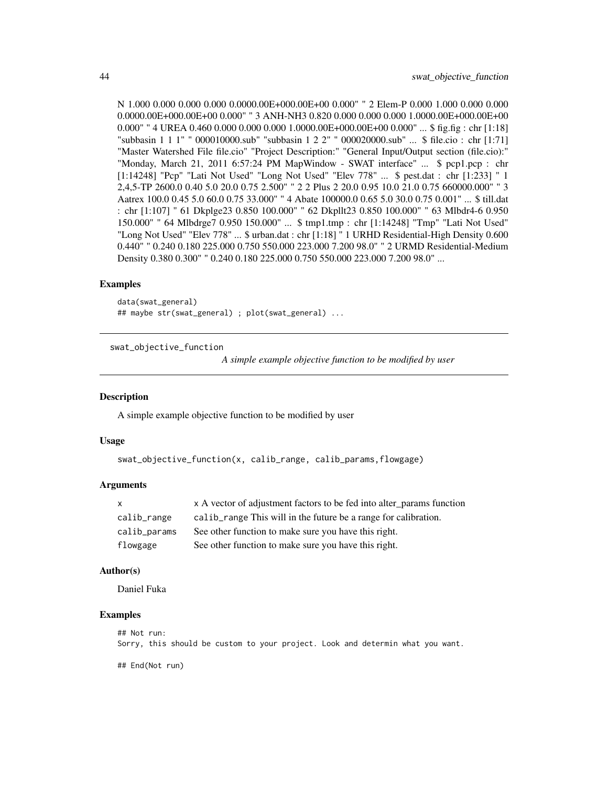<span id="page-43-0"></span>N 1.000 0.000 0.000 0.000 0.0000.00E+000.00E+00 0.000" " 2 Elem-P 0.000 1.000 0.000 0.000 0.0000.00E+000.00E+00 0.000" " 3 ANH-NH3 0.820 0.000 0.000 0.000 1.0000.00E+000.00E+00  $0.000"$  " 4 UREA  $0.460\,0.000\,0.000\,0.000\,1.0000.00E+000.00E+00\,0.000"$  ... \$ fig.fig : chr [1:18] "subbasin 1 1 1" " 000010000.sub" "subbasin 1 2 2" " 000020000.sub" ... \$ file.cio : chr [1:71] "Master Watershed File file.cio" "Project Description:" "General Input/Output section (file.cio):" "Monday, March 21, 2011 6:57:24 PM MapWindow - SWAT interface" ... \$ pcp1.pcp : chr [1:14248] "Pcp" "Lati Not Used" "Long Not Used" "Elev 778" ... \$ pest.dat : chr [1:233] " 1 2,4,5-TP 2600.0 0.40 5.0 20.0 0.75 2.500" " 2 2 Plus 2 20.0 0.95 10.0 21.0 0.75 660000.000" " 3 Aatrex 100.0 0.45 5.0 60.0 0.75 33.000" " 4 Abate 100000.0 0.65 5.0 30.0 0.75 0.001" ... \$ till.dat : chr [1:107] " 61 Dkplge23 0.850 100.000" " 62 Dkpllt23 0.850 100.000" " 63 Mlbdr4-6 0.950 150.000" " 64 Mlbdrge7 0.950 150.000" ... \$ tmp1.tmp : chr [1:14248] "Tmp" "Lati Not Used" "Long Not Used" "Elev 778" ... \$ urban.dat : chr [1:18] " 1 URHD Residential-High Density 0.600 0.440" " 0.240 0.180 225.000 0.750 550.000 223.000 7.200 98.0" " 2 URMD Residential-Medium Density 0.380 0.300" " 0.240 0.180 225.000 0.750 550.000 223.000 7.200 98.0" ...

# Examples

```
data(swat_general)
## maybe str(swat_general) ; plot(swat_general) ...
```
swat\_objective\_function

*A simple example objective function to be modified by user*

#### Description

A simple example objective function to be modified by user

#### Usage

```
swat_objective_function(x, calib_range, calib_params,flowgage)
```
#### Arguments

| $\mathsf{x}$ | x A vector of adjustment factors to be fed into alter_params function |
|--------------|-----------------------------------------------------------------------|
| calib_range  | calib range This will in the future be a range for calibration.       |
| calib_params | See other function to make sure you have this right.                  |
| flowgage     | See other function to make sure you have this right.                  |

#### Author(s)

Daniel Fuka

#### Examples

```
## Not run:
Sorry, this should be custom to your project. Look and determin what you want.
```
## End(Not run)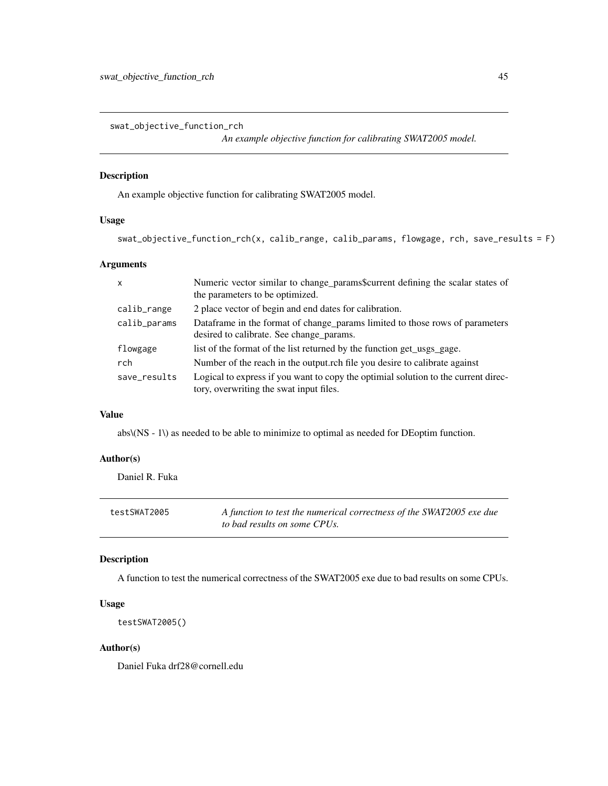<span id="page-44-0"></span>swat\_objective\_function\_rch

*An example objective function for calibrating SWAT2005 model.*

# Description

An example objective function for calibrating SWAT2005 model.

# Usage

```
swat_objective_function_rch(x, calib_range, calib_params, flowgage, rch, save_results = F)
```
# Arguments

| $\boldsymbol{\mathsf{x}}$ | Numeric vector similar to change params\$current defining the scalar states of<br>the parameters to be optimized.             |
|---------------------------|-------------------------------------------------------------------------------------------------------------------------------|
| calib_range               | 2 place vector of begin and end dates for calibration.                                                                        |
| calib_params              | Dataframe in the format of change_params limited to those rows of parameters<br>desired to calibrate. See change_params.      |
| flowgage                  | list of the format of the list returned by the function get_usgs_gage.                                                        |
| rch                       | Number of the reach in the output.rch file you desire to calibrate against                                                    |
| save_results              | Logical to express if you want to copy the optimial solution to the current direc-<br>tory, overwriting the swat input files. |

# Value

abs\(NS - 1\) as needed to be able to minimize to optimal as needed for DEoptim function.

# Author(s)

Daniel R. Fuka

| testSWAT2005 | A function to test the numerical correctness of the SWAT2005 exe due |
|--------------|----------------------------------------------------------------------|
|              | to bad results on some CPUs.                                         |

# Description

A function to test the numerical correctness of the SWAT2005 exe due to bad results on some CPUs.

#### Usage

```
testSWAT2005()
```
#### Author(s)

Daniel Fuka drf28@cornell.edu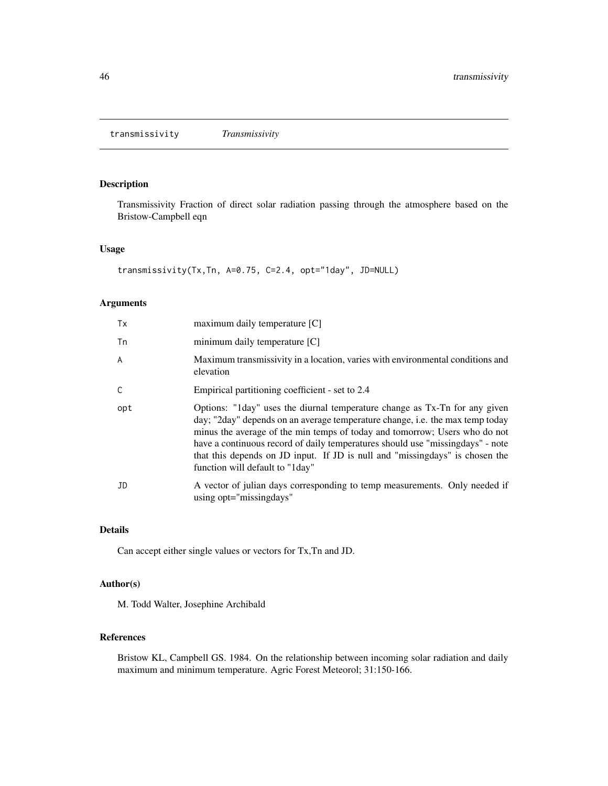# <span id="page-45-0"></span>Description

Transmissivity Fraction of direct solar radiation passing through the atmosphere based on the Bristow-Campbell eqn

#### Usage

```
transmissivity(Tx,Tn, A=0.75, C=2.4, opt="1day", JD=NULL)
```
# Arguments

| Tx  | maximum daily temperature [C]                                                                                                                                                                                                                                                                                                                                                                                                                   |
|-----|-------------------------------------------------------------------------------------------------------------------------------------------------------------------------------------------------------------------------------------------------------------------------------------------------------------------------------------------------------------------------------------------------------------------------------------------------|
| Tn  | minimum daily temperature $[C]$                                                                                                                                                                                                                                                                                                                                                                                                                 |
| A   | Maximum transmissivity in a location, varies with environmental conditions and<br>elevation                                                                                                                                                                                                                                                                                                                                                     |
| C   | Empirical partitioning coefficient - set to 2.4                                                                                                                                                                                                                                                                                                                                                                                                 |
| opt | Options: "Iday" uses the diurnal temperature change as Tx-Tn for any given<br>day; "2day" depends on an average temperature change, i.e. the max temp today<br>minus the average of the min temps of today and tomorrow; Users who do not<br>have a continuous record of daily temperatures should use "missing days" - note<br>that this depends on JD input. If JD is null and "missingdays" is chosen the<br>function will default to "1day" |
| JD  | A vector of julian days corresponding to temp measurements. Only needed if<br>using opt="missingdays"                                                                                                                                                                                                                                                                                                                                           |

# Details

Can accept either single values or vectors for Tx,Tn and JD.

# Author(s)

M. Todd Walter, Josephine Archibald

#### References

Bristow KL, Campbell GS. 1984. On the relationship between incoming solar radiation and daily maximum and minimum temperature. Agric Forest Meteorol; 31:150-166.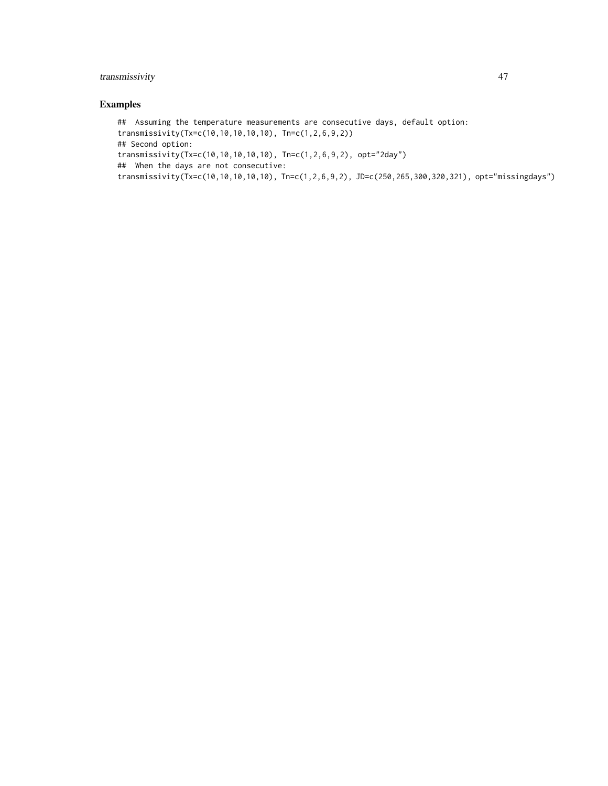# transmissivity 47

# Examples

```
## Assuming the temperature measurements are consecutive days, default option:
transmissivity(Tx=c(10,10,10,10,10), Tn=c(1,2,6,9,2))
## Second option:
transmissivity(Tx=c(10,10,10,10,10), Tn=c(1,2,6,9,2), opt="2day")
## When the days are not consecutive:
transmissivity(Tx=c(10,10,10,10,10), Tn=c(1,2,6,9,2), JD=c(250,265,300,320,321), opt="missingdays")
```